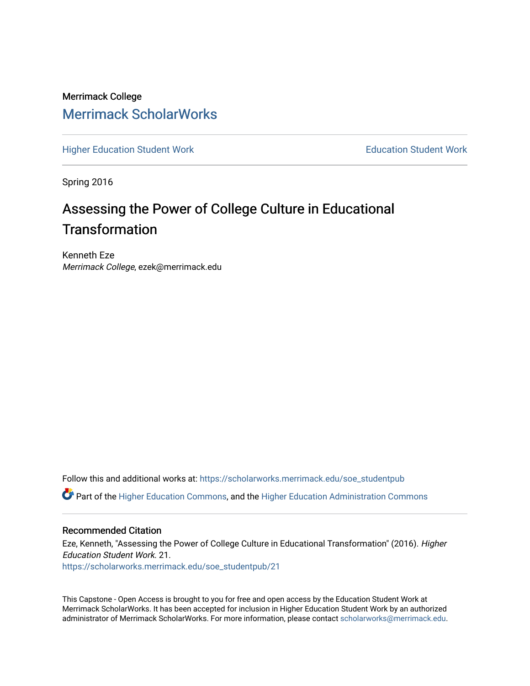Merrimack College [Merrimack ScholarWorks](https://scholarworks.merrimack.edu/) 

[Higher Education Student Work](https://scholarworks.merrimack.edu/soe_studentpub) **Education Student Work** Education Student Work

Spring 2016

# Assessing the Power of College Culture in Educational **Transformation**

Kenneth Eze Merrimack College, ezek@merrimack.edu

Follow this and additional works at: [https://scholarworks.merrimack.edu/soe\\_studentpub](https://scholarworks.merrimack.edu/soe_studentpub?utm_source=scholarworks.merrimack.edu%2Fsoe_studentpub%2F21&utm_medium=PDF&utm_campaign=PDFCoverPages) 

Part of the [Higher Education Commons,](http://network.bepress.com/hgg/discipline/1245?utm_source=scholarworks.merrimack.edu%2Fsoe_studentpub%2F21&utm_medium=PDF&utm_campaign=PDFCoverPages) and the [Higher Education Administration Commons](http://network.bepress.com/hgg/discipline/791?utm_source=scholarworks.merrimack.edu%2Fsoe_studentpub%2F21&utm_medium=PDF&utm_campaign=PDFCoverPages) 

## Recommended Citation

Eze, Kenneth, "Assessing the Power of College Culture in Educational Transformation" (2016). Higher Education Student Work. 21. [https://scholarworks.merrimack.edu/soe\\_studentpub/21](https://scholarworks.merrimack.edu/soe_studentpub/21?utm_source=scholarworks.merrimack.edu%2Fsoe_studentpub%2F21&utm_medium=PDF&utm_campaign=PDFCoverPages) 

This Capstone - Open Access is brought to you for free and open access by the Education Student Work at Merrimack ScholarWorks. It has been accepted for inclusion in Higher Education Student Work by an authorized administrator of Merrimack ScholarWorks. For more information, please contact [scholarworks@merrimack.edu](mailto:scholarworks@merrimack.edu).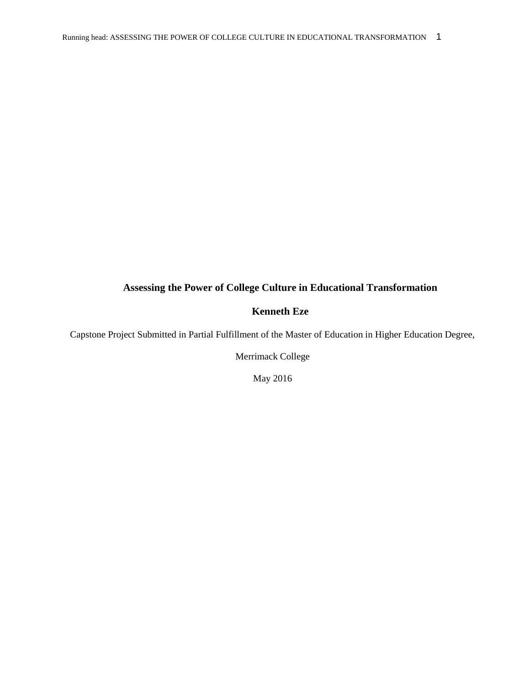## **Assessing the Power of College Culture in Educational Transformation**

## **Kenneth Eze**

Capstone Project Submitted in Partial Fulfillment of the Master of Education in Higher Education Degree,

Merrimack College

May 2016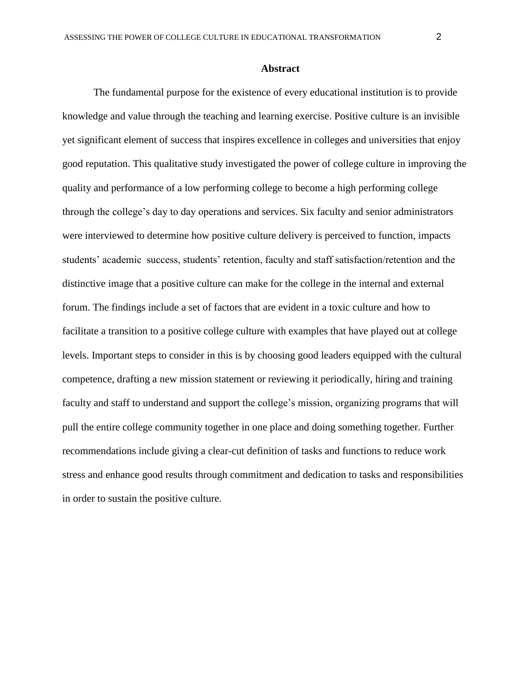## **Abstract**

The fundamental purpose for the existence of every educational institution is to provide knowledge and value through the teaching and learning exercise. Positive culture is an invisible yet significant element of success that inspires excellence in colleges and universities that enjoy good reputation. This qualitative study investigated the power of college culture in improving the quality and performance of a low performing college to become a high performing college through the college's day to day operations and services. Six faculty and senior administrators were interviewed to determine how positive culture delivery is perceived to function, impacts students' academic success, students' retention, faculty and staff satisfaction/retention and the distinctive image that a positive culture can make for the college in the internal and external forum. The findings include a set of factors that are evident in a toxic culture and how to facilitate a transition to a positive college culture with examples that have played out at college levels. Important steps to consider in this is by choosing good leaders equipped with the cultural competence, drafting a new mission statement or reviewing it periodically, hiring and training faculty and staff to understand and support the college's mission, organizing programs that will pull the entire college community together in one place and doing something together. Further recommendations include giving a clear-cut definition of tasks and functions to reduce work stress and enhance good results through commitment and dedication to tasks and responsibilities in order to sustain the positive culture.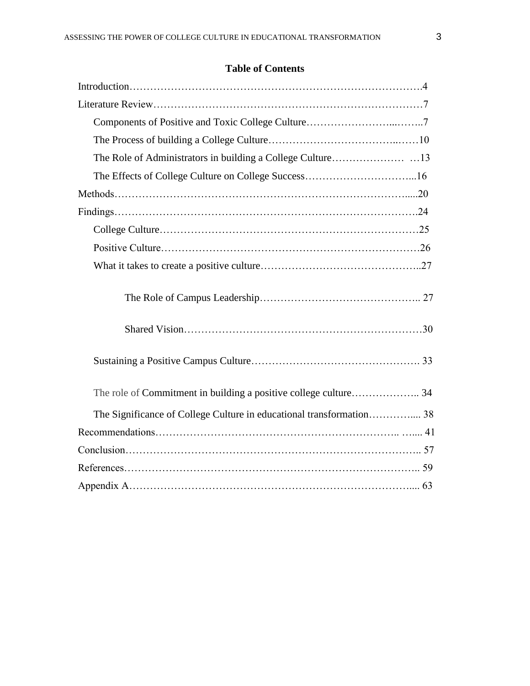# **Table of Contents**

| The Significance of College Culture in educational transformation 38 |  |
|----------------------------------------------------------------------|--|
|                                                                      |  |
|                                                                      |  |
|                                                                      |  |
|                                                                      |  |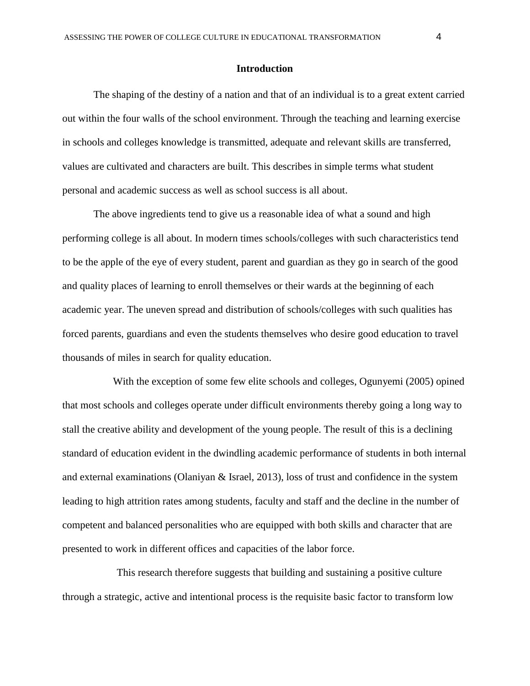## **Introduction**

The shaping of the destiny of a nation and that of an individual is to a great extent carried out within the four walls of the school environment. Through the teaching and learning exercise in schools and colleges knowledge is transmitted, adequate and relevant skills are transferred, values are cultivated and characters are built. This describes in simple terms what student personal and academic success as well as school success is all about.

The above ingredients tend to give us a reasonable idea of what a sound and high performing college is all about. In modern times schools/colleges with such characteristics tend to be the apple of the eye of every student, parent and guardian as they go in search of the good and quality places of learning to enroll themselves or their wards at the beginning of each academic year. The uneven spread and distribution of schools/colleges with such qualities has forced parents, guardians and even the students themselves who desire good education to travel thousands of miles in search for quality education.

With the exception of some few elite schools and colleges, Ogunyemi (2005) opined that most schools and colleges operate under difficult environments thereby going a long way to stall the creative ability and development of the young people. The result of this is a declining standard of education evident in the dwindling academic performance of students in both internal and external examinations (Olaniyan & Israel, 2013), loss of trust and confidence in the system leading to high attrition rates among students, faculty and staff and the decline in the number of competent and balanced personalities who are equipped with both skills and character that are presented to work in different offices and capacities of the labor force.

This research therefore suggests that building and sustaining a positive culture through a strategic, active and intentional process is the requisite basic factor to transform low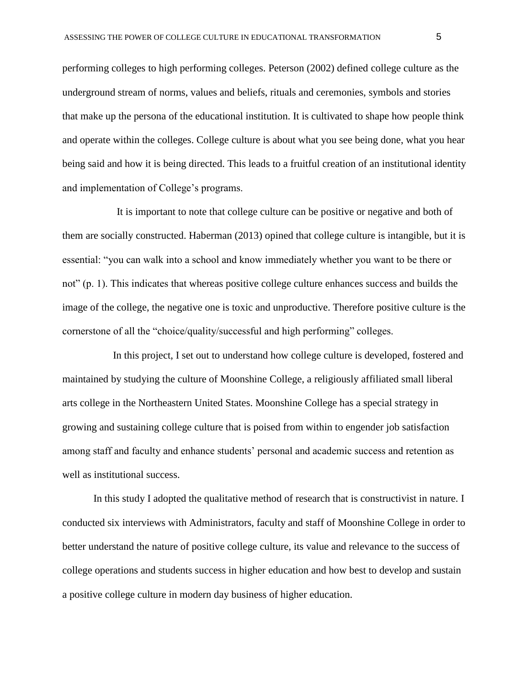performing colleges to high performing colleges. Peterson (2002) defined college culture as the underground stream of norms, values and beliefs, rituals and ceremonies, symbols and stories that make up the persona of the educational institution. It is cultivated to shape how people think and operate within the colleges. College culture is about what you see being done, what you hear being said and how it is being directed. This leads to a fruitful creation of an institutional identity and implementation of College's programs.

It is important to note that college culture can be positive or negative and both of them are socially constructed. Haberman (2013) opined that college culture is intangible, but it is essential: "you can walk into a school and know immediately whether you want to be there or not" (p. 1). This indicates that whereas positive college culture enhances success and builds the image of the college, the negative one is toxic and unproductive. Therefore positive culture is the cornerstone of all the "choice/quality/successful and high performing" colleges.

In this project, I set out to understand how college culture is developed, fostered and maintained by studying the culture of Moonshine College, a religiously affiliated small liberal arts college in the Northeastern United States. Moonshine College has a special strategy in growing and sustaining college culture that is poised from within to engender job satisfaction among staff and faculty and enhance students' personal and academic success and retention as well as institutional success.

In this study I adopted the qualitative method of research that is constructivist in nature. I conducted six interviews with Administrators, faculty and staff of Moonshine College in order to better understand the nature of positive college culture, its value and relevance to the success of college operations and students success in higher education and how best to develop and sustain a positive college culture in modern day business of higher education.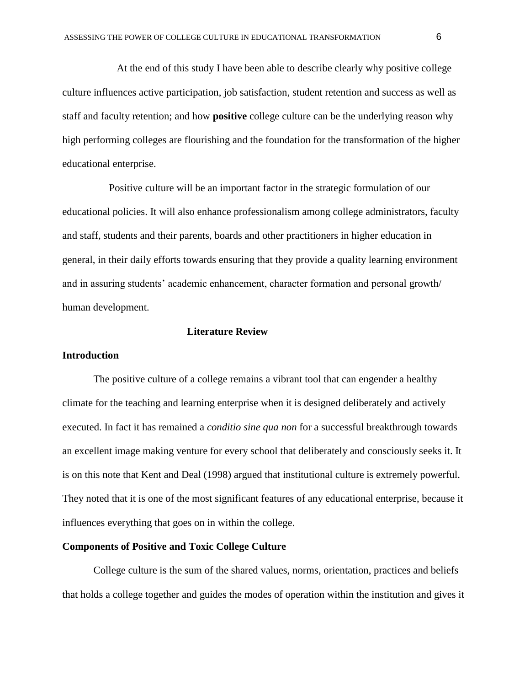At the end of this study I have been able to describe clearly why positive college culture influences active participation, job satisfaction, student retention and success as well as staff and faculty retention; and how **positive** college culture can be the underlying reason why high performing colleges are flourishing and the foundation for the transformation of the higher educational enterprise.

Positive culture will be an important factor in the strategic formulation of our educational policies. It will also enhance professionalism among college administrators, faculty and staff, students and their parents, boards and other practitioners in higher education in general, in their daily efforts towards ensuring that they provide a quality learning environment and in assuring students' academic enhancement, character formation and personal growth/ human development.

#### **Literature Review**

#### **Introduction**

The positive culture of a college remains a vibrant tool that can engender a healthy climate for the teaching and learning enterprise when it is designed deliberately and actively executed. In fact it has remained a *conditio sine qua non* for a successful breakthrough towards an excellent image making venture for every school that deliberately and consciously seeks it. It is on this note that Kent and Deal (1998) argued that institutional culture is extremely powerful. They noted that it is one of the most significant features of any educational enterprise, because it influences everything that goes on in within the college.

## **Components of Positive and Toxic College Culture**

College culture is the sum of the shared values, norms, orientation, practices and beliefs that holds a college together and guides the modes of operation within the institution and gives it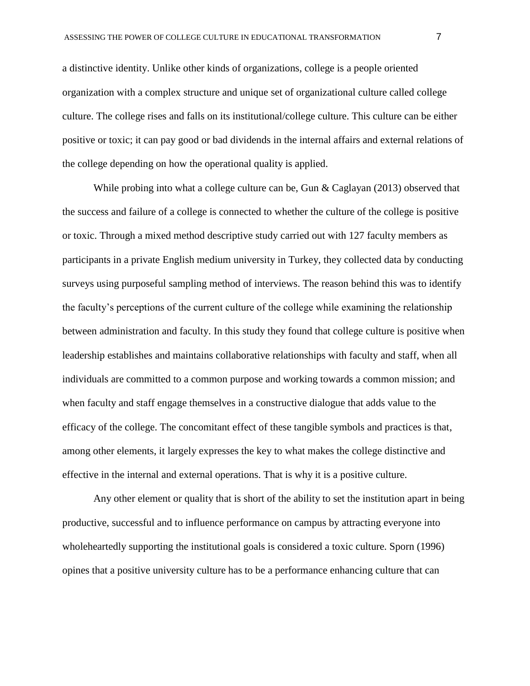a distinctive identity. Unlike other kinds of organizations, college is a people oriented organization with a complex structure and unique set of organizational culture called college culture. The college rises and falls on its institutional/college culture. This culture can be either positive or toxic; it can pay good or bad dividends in the internal affairs and external relations of the college depending on how the operational quality is applied.

While probing into what a college culture can be, Gun & Caglayan (2013) observed that the success and failure of a college is connected to whether the culture of the college is positive or toxic. Through a mixed method descriptive study carried out with 127 faculty members as participants in a private English medium university in Turkey, they collected data by conducting surveys using purposeful sampling method of interviews. The reason behind this was to identify the faculty's perceptions of the current culture of the college while examining the relationship between administration and faculty. In this study they found that college culture is positive when leadership establishes and maintains collaborative relationships with faculty and staff, when all individuals are committed to a common purpose and working towards a common mission; and when faculty and staff engage themselves in a constructive dialogue that adds value to the efficacy of the college. The concomitant effect of these tangible symbols and practices is that, among other elements, it largely expresses the key to what makes the college distinctive and effective in the internal and external operations. That is why it is a positive culture.

Any other element or quality that is short of the ability to set the institution apart in being productive, successful and to influence performance on campus by attracting everyone into wholeheartedly supporting the institutional goals is considered a toxic culture. Sporn (1996) opines that a positive university culture has to be a performance enhancing culture that can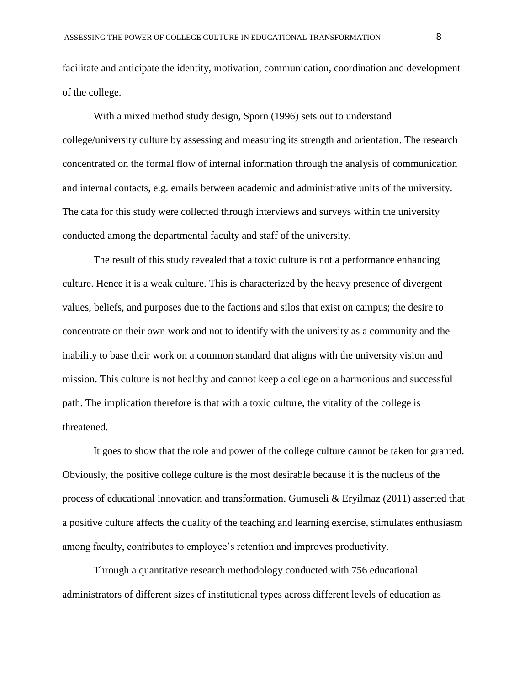facilitate and anticipate the identity, motivation, communication, coordination and development of the college.

With a mixed method study design, Sporn (1996) sets out to understand college/university culture by assessing and measuring its strength and orientation. The research concentrated on the formal flow of internal information through the analysis of communication and internal contacts, e.g. emails between academic and administrative units of the university. The data for this study were collected through interviews and surveys within the university conducted among the departmental faculty and staff of the university.

The result of this study revealed that a toxic culture is not a performance enhancing culture. Hence it is a weak culture. This is characterized by the heavy presence of divergent values, beliefs, and purposes due to the factions and silos that exist on campus; the desire to concentrate on their own work and not to identify with the university as a community and the inability to base their work on a common standard that aligns with the university vision and mission. This culture is not healthy and cannot keep a college on a harmonious and successful path. The implication therefore is that with a toxic culture, the vitality of the college is threatened.

It goes to show that the role and power of the college culture cannot be taken for granted. Obviously, the positive college culture is the most desirable because it is the nucleus of the process of educational innovation and transformation. Gumuseli & Eryilmaz (2011) asserted that a positive culture affects the quality of the teaching and learning exercise, stimulates enthusiasm among faculty, contributes to employee's retention and improves productivity.

Through a quantitative research methodology conducted with 756 educational administrators of different sizes of institutional types across different levels of education as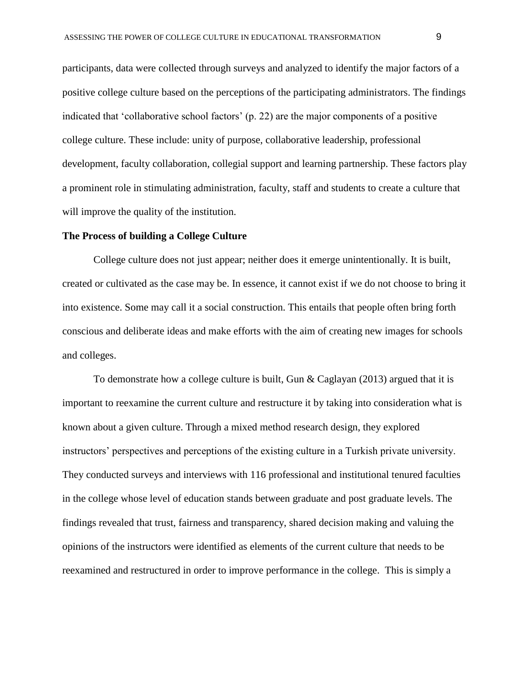participants, data were collected through surveys and analyzed to identify the major factors of a positive college culture based on the perceptions of the participating administrators. The findings indicated that 'collaborative school factors' (p. 22) are the major components of a positive college culture. These include: unity of purpose, collaborative leadership, professional development, faculty collaboration, collegial support and learning partnership. These factors play a prominent role in stimulating administration, faculty, staff and students to create a culture that will improve the quality of the institution.

## **The Process of building a College Culture**

College culture does not just appear; neither does it emerge unintentionally. It is built, created or cultivated as the case may be. In essence, it cannot exist if we do not choose to bring it into existence. Some may call it a social construction. This entails that people often bring forth conscious and deliberate ideas and make efforts with the aim of creating new images for schools and colleges.

To demonstrate how a college culture is built, Gun  $\&$  Caglayan (2013) argued that it is important to reexamine the current culture and restructure it by taking into consideration what is known about a given culture. Through a mixed method research design, they explored instructors' perspectives and perceptions of the existing culture in a Turkish private university. They conducted surveys and interviews with 116 professional and institutional tenured faculties in the college whose level of education stands between graduate and post graduate levels. The findings revealed that trust, fairness and transparency, shared decision making and valuing the opinions of the instructors were identified as elements of the current culture that needs to be reexamined and restructured in order to improve performance in the college. This is simply a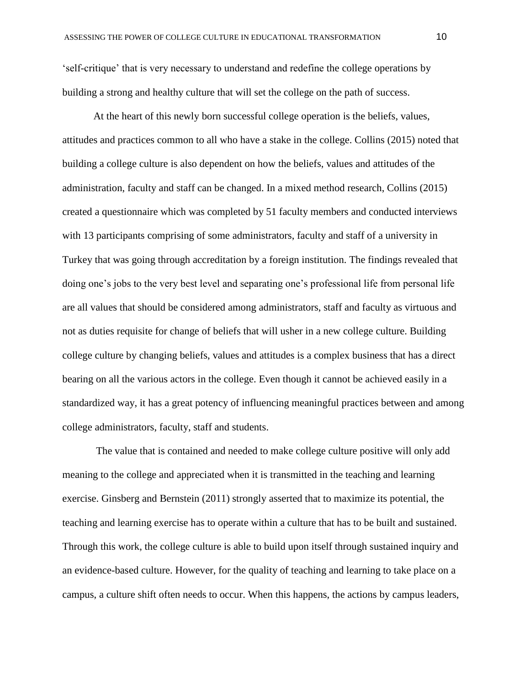'self-critique' that is very necessary to understand and redefine the college operations by building a strong and healthy culture that will set the college on the path of success.

At the heart of this newly born successful college operation is the beliefs, values, attitudes and practices common to all who have a stake in the college. Collins (2015) noted that building a college culture is also dependent on how the beliefs, values and attitudes of the administration, faculty and staff can be changed. In a mixed method research, Collins (2015) created a questionnaire which was completed by 51 faculty members and conducted interviews with 13 participants comprising of some administrators, faculty and staff of a university in Turkey that was going through accreditation by a foreign institution. The findings revealed that doing one's jobs to the very best level and separating one's professional life from personal life are all values that should be considered among administrators, staff and faculty as virtuous and not as duties requisite for change of beliefs that will usher in a new college culture. Building college culture by changing beliefs, values and attitudes is a complex business that has a direct bearing on all the various actors in the college. Even though it cannot be achieved easily in a standardized way, it has a great potency of influencing meaningful practices between and among college administrators, faculty, staff and students.

The value that is contained and needed to make college culture positive will only add meaning to the college and appreciated when it is transmitted in the teaching and learning exercise. Ginsberg and Bernstein (2011) strongly asserted that to maximize its potential, the teaching and learning exercise has to operate within a culture that has to be built and sustained. Through this work, the college culture is able to build upon itself through sustained inquiry and an evidence-based culture. However, for the quality of teaching and learning to take place on a campus, a culture shift often needs to occur. When this happens, the actions by campus leaders,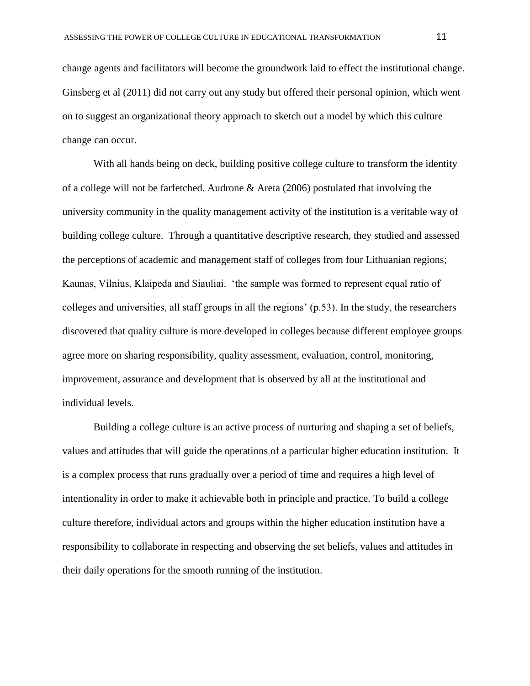change agents and facilitators will become the groundwork laid to effect the institutional change. Ginsberg et al (2011) did not carry out any study but offered their personal opinion, which went on to suggest an organizational theory approach to sketch out a model by which this culture change can occur.

With all hands being on deck, building positive college culture to transform the identity of a college will not be farfetched. Audrone & Areta (2006) postulated that involving the university community in the quality management activity of the institution is a veritable way of building college culture. Through a quantitative descriptive research, they studied and assessed the perceptions of academic and management staff of colleges from four Lithuanian regions; Kaunas, Vilnius, Klaipeda and Siauliai. 'the sample was formed to represent equal ratio of colleges and universities, all staff groups in all the regions' (p.53). In the study, the researchers discovered that quality culture is more developed in colleges because different employee groups agree more on sharing responsibility, quality assessment, evaluation, control, monitoring, improvement, assurance and development that is observed by all at the institutional and individual levels.

Building a college culture is an active process of nurturing and shaping a set of beliefs, values and attitudes that will guide the operations of a particular higher education institution. It is a complex process that runs gradually over a period of time and requires a high level of intentionality in order to make it achievable both in principle and practice. To build a college culture therefore, individual actors and groups within the higher education institution have a responsibility to collaborate in respecting and observing the set beliefs, values and attitudes in their daily operations for the smooth running of the institution.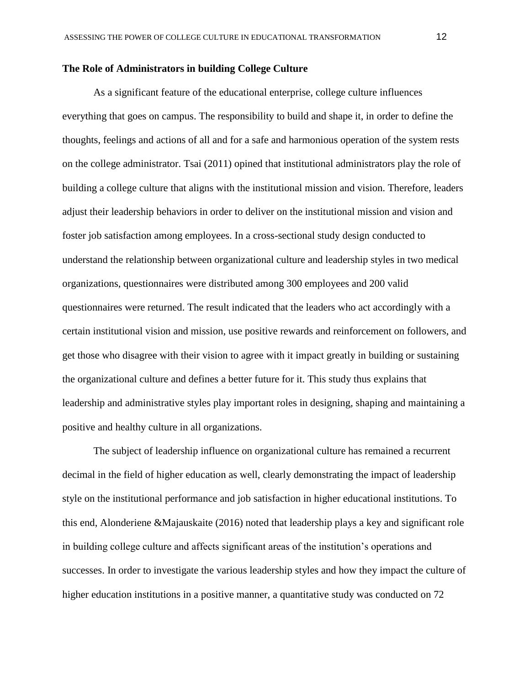## **The Role of Administrators in building College Culture**

As a significant feature of the educational enterprise, college culture influences everything that goes on campus. The responsibility to build and shape it, in order to define the thoughts, feelings and actions of all and for a safe and harmonious operation of the system rests on the college administrator. Tsai (2011) opined that institutional administrators play the role of building a college culture that aligns with the institutional mission and vision. Therefore, leaders adjust their leadership behaviors in order to deliver on the institutional mission and vision and foster job satisfaction among employees. In a cross-sectional study design conducted to understand the relationship between organizational culture and leadership styles in two medical organizations, questionnaires were distributed among 300 employees and 200 valid questionnaires were returned. The result indicated that the leaders who act accordingly with a certain institutional vision and mission, use positive rewards and reinforcement on followers, and get those who disagree with their vision to agree with it impact greatly in building or sustaining the organizational culture and defines a better future for it. This study thus explains that leadership and administrative styles play important roles in designing, shaping and maintaining a positive and healthy culture in all organizations.

The subject of leadership influence on organizational culture has remained a recurrent decimal in the field of higher education as well, clearly demonstrating the impact of leadership style on the institutional performance and job satisfaction in higher educational institutions. To this end, Alonderiene &Majauskaite (2016) noted that leadership plays a key and significant role in building college culture and affects significant areas of the institution's operations and successes. In order to investigate the various leadership styles and how they impact the culture of higher education institutions in a positive manner, a quantitative study was conducted on 72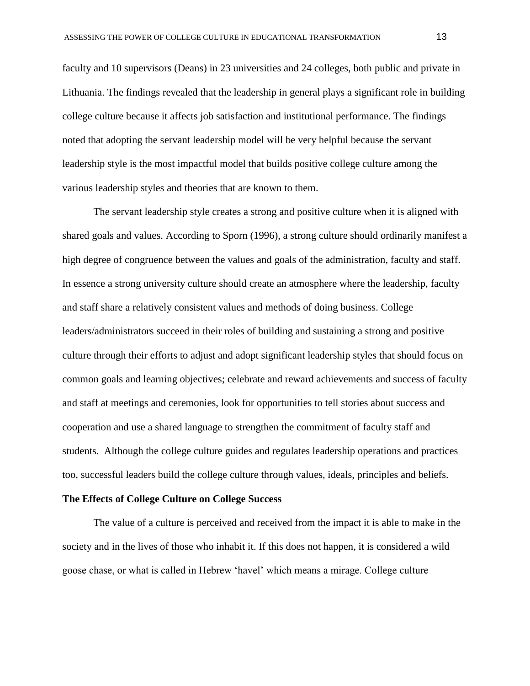faculty and 10 supervisors (Deans) in 23 universities and 24 colleges, both public and private in Lithuania. The findings revealed that the leadership in general plays a significant role in building college culture because it affects job satisfaction and institutional performance. The findings noted that adopting the servant leadership model will be very helpful because the servant leadership style is the most impactful model that builds positive college culture among the various leadership styles and theories that are known to them.

The servant leadership style creates a strong and positive culture when it is aligned with shared goals and values. According to Sporn (1996), a strong culture should ordinarily manifest a high degree of congruence between the values and goals of the administration, faculty and staff. In essence a strong university culture should create an atmosphere where the leadership, faculty and staff share a relatively consistent values and methods of doing business. College leaders/administrators succeed in their roles of building and sustaining a strong and positive culture through their efforts to adjust and adopt significant leadership styles that should focus on common goals and learning objectives; celebrate and reward achievements and success of faculty and staff at meetings and ceremonies, look for opportunities to tell stories about success and cooperation and use a shared language to strengthen the commitment of faculty staff and students. Although the college culture guides and regulates leadership operations and practices too, successful leaders build the college culture through values, ideals, principles and beliefs.

### **The Effects of College Culture on College Success**

The value of a culture is perceived and received from the impact it is able to make in the society and in the lives of those who inhabit it. If this does not happen, it is considered a wild goose chase, or what is called in Hebrew 'havel' which means a mirage. College culture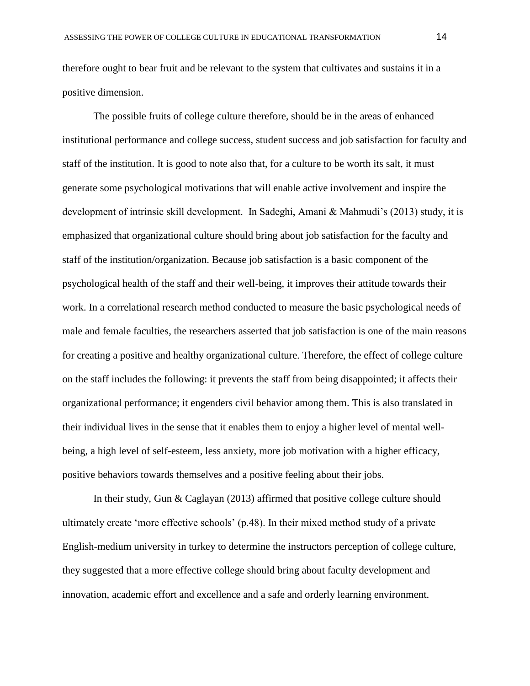therefore ought to bear fruit and be relevant to the system that cultivates and sustains it in a positive dimension.

The possible fruits of college culture therefore, should be in the areas of enhanced institutional performance and college success, student success and job satisfaction for faculty and staff of the institution. It is good to note also that, for a culture to be worth its salt, it must generate some psychological motivations that will enable active involvement and inspire the development of intrinsic skill development. In Sadeghi, Amani & Mahmudi's (2013) study, it is emphasized that organizational culture should bring about job satisfaction for the faculty and staff of the institution/organization. Because job satisfaction is a basic component of the psychological health of the staff and their well-being, it improves their attitude towards their work. In a correlational research method conducted to measure the basic psychological needs of male and female faculties, the researchers asserted that job satisfaction is one of the main reasons for creating a positive and healthy organizational culture. Therefore, the effect of college culture on the staff includes the following: it prevents the staff from being disappointed; it affects their organizational performance; it engenders civil behavior among them. This is also translated in their individual lives in the sense that it enables them to enjoy a higher level of mental wellbeing, a high level of self-esteem, less anxiety, more job motivation with a higher efficacy, positive behaviors towards themselves and a positive feeling about their jobs.

In their study, Gun & Caglayan (2013) affirmed that positive college culture should ultimately create 'more effective schools' (p.48). In their mixed method study of a private English-medium university in turkey to determine the instructors perception of college culture, they suggested that a more effective college should bring about faculty development and innovation, academic effort and excellence and a safe and orderly learning environment.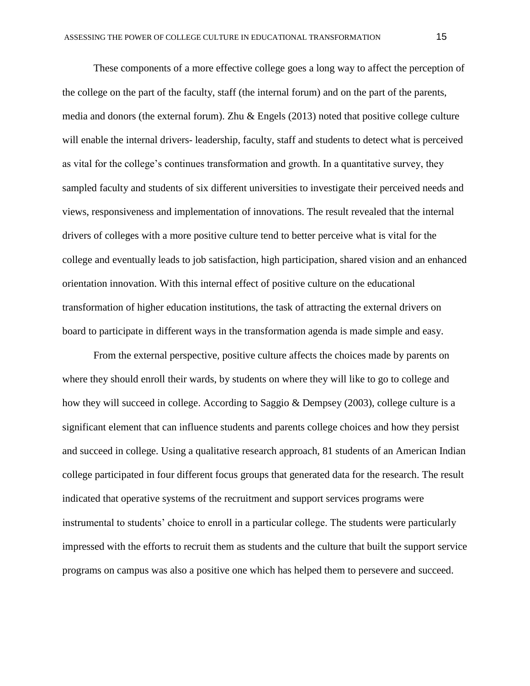These components of a more effective college goes a long way to affect the perception of the college on the part of the faculty, staff (the internal forum) and on the part of the parents, media and donors (the external forum). Zhu & Engels (2013) noted that positive college culture will enable the internal drivers- leadership, faculty, staff and students to detect what is perceived as vital for the college's continues transformation and growth. In a quantitative survey, they sampled faculty and students of six different universities to investigate their perceived needs and views, responsiveness and implementation of innovations. The result revealed that the internal drivers of colleges with a more positive culture tend to better perceive what is vital for the college and eventually leads to job satisfaction, high participation, shared vision and an enhanced orientation innovation. With this internal effect of positive culture on the educational transformation of higher education institutions, the task of attracting the external drivers on board to participate in different ways in the transformation agenda is made simple and easy.

From the external perspective, positive culture affects the choices made by parents on where they should enroll their wards, by students on where they will like to go to college and how they will succeed in college. According to Saggio & Dempsey (2003), college culture is a significant element that can influence students and parents college choices and how they persist and succeed in college. Using a qualitative research approach, 81 students of an American Indian college participated in four different focus groups that generated data for the research. The result indicated that operative systems of the recruitment and support services programs were instrumental to students' choice to enroll in a particular college. The students were particularly impressed with the efforts to recruit them as students and the culture that built the support service programs on campus was also a positive one which has helped them to persevere and succeed.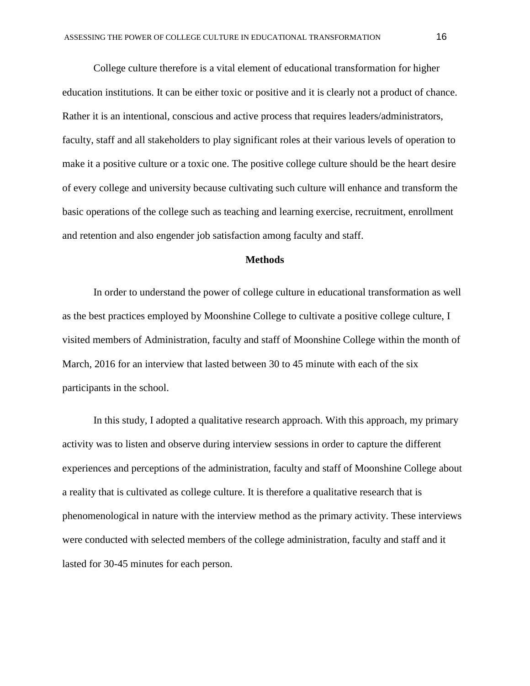College culture therefore is a vital element of educational transformation for higher education institutions. It can be either toxic or positive and it is clearly not a product of chance. Rather it is an intentional, conscious and active process that requires leaders/administrators, faculty, staff and all stakeholders to play significant roles at their various levels of operation to make it a positive culture or a toxic one. The positive college culture should be the heart desire of every college and university because cultivating such culture will enhance and transform the basic operations of the college such as teaching and learning exercise, recruitment, enrollment and retention and also engender job satisfaction among faculty and staff.

## **Methods**

In order to understand the power of college culture in educational transformation as well as the best practices employed by Moonshine College to cultivate a positive college culture, I visited members of Administration, faculty and staff of Moonshine College within the month of March, 2016 for an interview that lasted between 30 to 45 minute with each of the six participants in the school.

In this study, I adopted a qualitative research approach. With this approach, my primary activity was to listen and observe during interview sessions in order to capture the different experiences and perceptions of the administration, faculty and staff of Moonshine College about a reality that is cultivated as college culture. It is therefore a qualitative research that is phenomenological in nature with the interview method as the primary activity. These interviews were conducted with selected members of the college administration, faculty and staff and it lasted for 30-45 minutes for each person.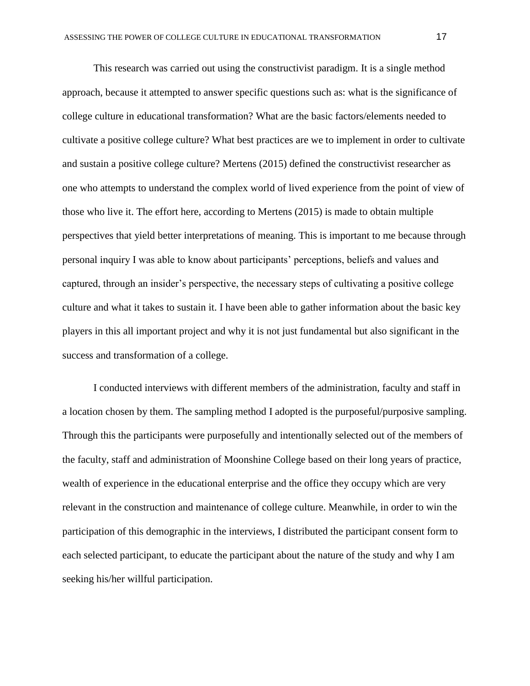This research was carried out using the constructivist paradigm. It is a single method approach, because it attempted to answer specific questions such as: what is the significance of college culture in educational transformation? What are the basic factors/elements needed to cultivate a positive college culture? What best practices are we to implement in order to cultivate and sustain a positive college culture? Mertens (2015) defined the constructivist researcher as one who attempts to understand the complex world of lived experience from the point of view of those who live it. The effort here, according to Mertens (2015) is made to obtain multiple perspectives that yield better interpretations of meaning. This is important to me because through personal inquiry I was able to know about participants' perceptions, beliefs and values and captured, through an insider's perspective, the necessary steps of cultivating a positive college culture and what it takes to sustain it. I have been able to gather information about the basic key players in this all important project and why it is not just fundamental but also significant in the success and transformation of a college.

I conducted interviews with different members of the administration, faculty and staff in a location chosen by them. The sampling method I adopted is the purposeful/purposive sampling. Through this the participants were purposefully and intentionally selected out of the members of the faculty, staff and administration of Moonshine College based on their long years of practice, wealth of experience in the educational enterprise and the office they occupy which are very relevant in the construction and maintenance of college culture. Meanwhile, in order to win the participation of this demographic in the interviews, I distributed the participant consent form to each selected participant, to educate the participant about the nature of the study and why I am seeking his/her willful participation.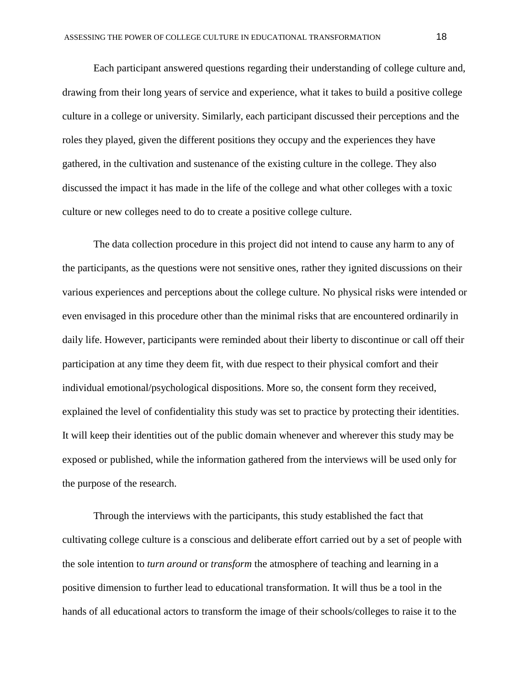Each participant answered questions regarding their understanding of college culture and, drawing from their long years of service and experience, what it takes to build a positive college culture in a college or university. Similarly, each participant discussed their perceptions and the roles they played, given the different positions they occupy and the experiences they have gathered, in the cultivation and sustenance of the existing culture in the college. They also discussed the impact it has made in the life of the college and what other colleges with a toxic culture or new colleges need to do to create a positive college culture.

The data collection procedure in this project did not intend to cause any harm to any of the participants, as the questions were not sensitive ones, rather they ignited discussions on their various experiences and perceptions about the college culture. No physical risks were intended or even envisaged in this procedure other than the minimal risks that are encountered ordinarily in daily life. However, participants were reminded about their liberty to discontinue or call off their participation at any time they deem fit, with due respect to their physical comfort and their individual emotional/psychological dispositions. More so, the consent form they received, explained the level of confidentiality this study was set to practice by protecting their identities. It will keep their identities out of the public domain whenever and wherever this study may be exposed or published, while the information gathered from the interviews will be used only for the purpose of the research.

Through the interviews with the participants, this study established the fact that cultivating college culture is a conscious and deliberate effort carried out by a set of people with the sole intention to *turn around* or *transform* the atmosphere of teaching and learning in a positive dimension to further lead to educational transformation. It will thus be a tool in the hands of all educational actors to transform the image of their schools/colleges to raise it to the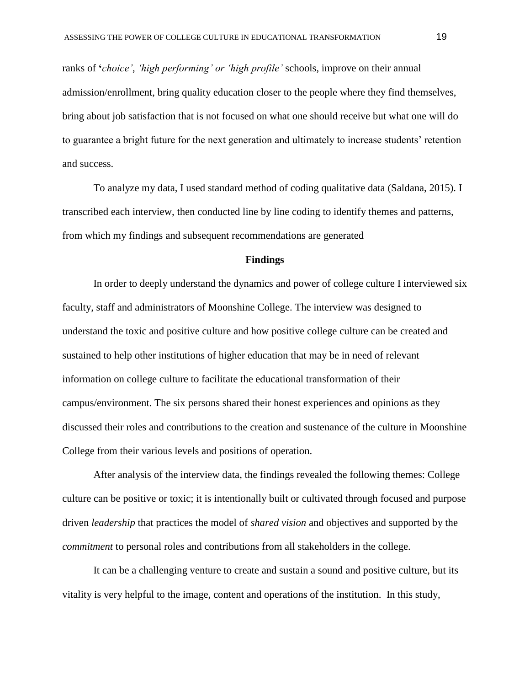ranks of **'***choice'*, *'high performing' or 'high profile'* schools, improve on their annual admission/enrollment, bring quality education closer to the people where they find themselves, bring about job satisfaction that is not focused on what one should receive but what one will do to guarantee a bright future for the next generation and ultimately to increase students' retention and success.

To analyze my data, I used standard method of coding qualitative data (Saldana, 2015). I transcribed each interview, then conducted line by line coding to identify themes and patterns, from which my findings and subsequent recommendations are generated

## **Findings**

In order to deeply understand the dynamics and power of college culture I interviewed six faculty, staff and administrators of Moonshine College. The interview was designed to understand the toxic and positive culture and how positive college culture can be created and sustained to help other institutions of higher education that may be in need of relevant information on college culture to facilitate the educational transformation of their campus/environment. The six persons shared their honest experiences and opinions as they discussed their roles and contributions to the creation and sustenance of the culture in Moonshine College from their various levels and positions of operation.

After analysis of the interview data, the findings revealed the following themes: College culture can be positive or toxic; it is intentionally built or cultivated through focused and purpose driven *leadership* that practices the model of *shared vision* and objectives and supported by the *commitment* to personal roles and contributions from all stakeholders in the college.

It can be a challenging venture to create and sustain a sound and positive culture, but its vitality is very helpful to the image, content and operations of the institution. In this study,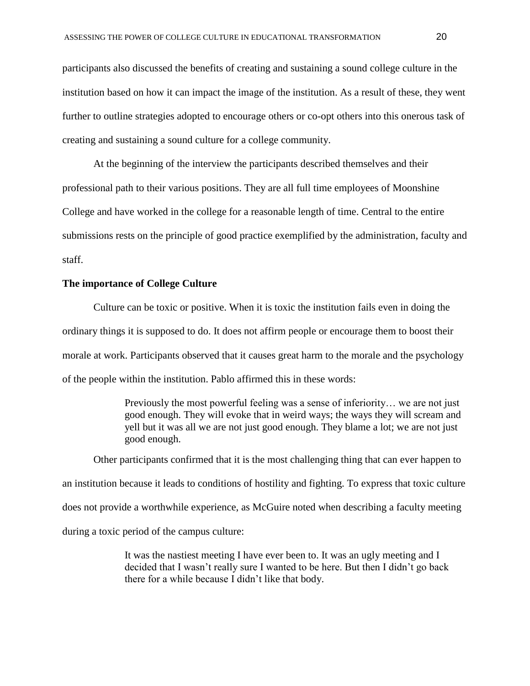participants also discussed the benefits of creating and sustaining a sound college culture in the institution based on how it can impact the image of the institution. As a result of these, they went further to outline strategies adopted to encourage others or co-opt others into this onerous task of creating and sustaining a sound culture for a college community.

At the beginning of the interview the participants described themselves and their professional path to their various positions. They are all full time employees of Moonshine College and have worked in the college for a reasonable length of time. Central to the entire submissions rests on the principle of good practice exemplified by the administration, faculty and staff.

## **The importance of College Culture**

Culture can be toxic or positive. When it is toxic the institution fails even in doing the ordinary things it is supposed to do. It does not affirm people or encourage them to boost their morale at work. Participants observed that it causes great harm to the morale and the psychology of the people within the institution. Pablo affirmed this in these words:

> Previously the most powerful feeling was a sense of inferiority… we are not just good enough. They will evoke that in weird ways; the ways they will scream and yell but it was all we are not just good enough. They blame a lot; we are not just good enough.

Other participants confirmed that it is the most challenging thing that can ever happen to an institution because it leads to conditions of hostility and fighting. To express that toxic culture does not provide a worthwhile experience, as McGuire noted when describing a faculty meeting during a toxic period of the campus culture:

> It was the nastiest meeting I have ever been to. It was an ugly meeting and I decided that I wasn't really sure I wanted to be here. But then I didn't go back there for a while because I didn't like that body.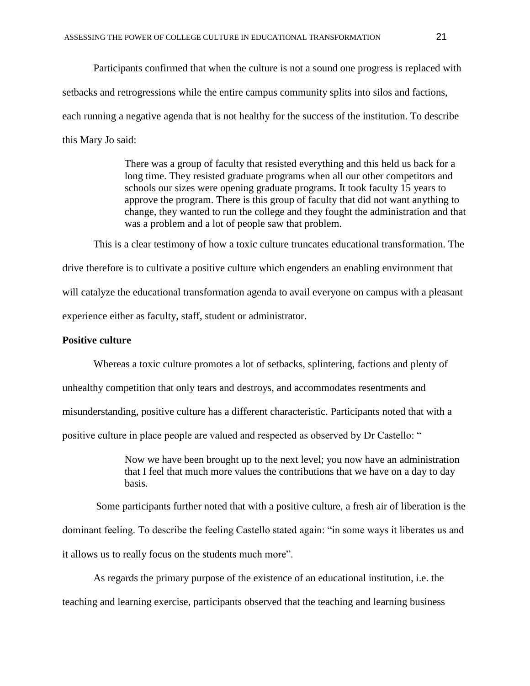Participants confirmed that when the culture is not a sound one progress is replaced with setbacks and retrogressions while the entire campus community splits into silos and factions, each running a negative agenda that is not healthy for the success of the institution. To describe this Mary Jo said:

> There was a group of faculty that resisted everything and this held us back for a long time. They resisted graduate programs when all our other competitors and schools our sizes were opening graduate programs. It took faculty 15 years to approve the program. There is this group of faculty that did not want anything to change, they wanted to run the college and they fought the administration and that was a problem and a lot of people saw that problem.

This is a clear testimony of how a toxic culture truncates educational transformation. The drive therefore is to cultivate a positive culture which engenders an enabling environment that will catalyze the educational transformation agenda to avail everyone on campus with a pleasant experience either as faculty, staff, student or administrator.

## **Positive culture**

Whereas a toxic culture promotes a lot of setbacks, splintering, factions and plenty of unhealthy competition that only tears and destroys, and accommodates resentments and misunderstanding, positive culture has a different characteristic. Participants noted that with a positive culture in place people are valued and respected as observed by Dr Castello: "

> Now we have been brought up to the next level; you now have an administration that I feel that much more values the contributions that we have on a day to day basis.

Some participants further noted that with a positive culture, a fresh air of liberation is the dominant feeling. To describe the feeling Castello stated again: "in some ways it liberates us and it allows us to really focus on the students much more".

As regards the primary purpose of the existence of an educational institution, i.e. the teaching and learning exercise, participants observed that the teaching and learning business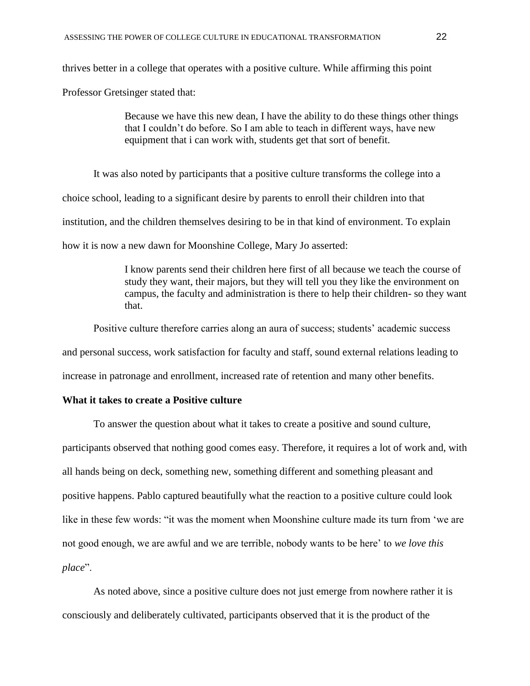thrives better in a college that operates with a positive culture. While affirming this point

Professor Gretsinger stated that:

Because we have this new dean, I have the ability to do these things other things that I couldn't do before. So I am able to teach in different ways, have new equipment that i can work with, students get that sort of benefit.

It was also noted by participants that a positive culture transforms the college into a choice school, leading to a significant desire by parents to enroll their children into that institution, and the children themselves desiring to be in that kind of environment. To explain how it is now a new dawn for Moonshine College, Mary Jo asserted:

> I know parents send their children here first of all because we teach the course of study they want, their majors, but they will tell you they like the environment on campus, the faculty and administration is there to help their children- so they want that.

Positive culture therefore carries along an aura of success; students' academic success and personal success, work satisfaction for faculty and staff, sound external relations leading to increase in patronage and enrollment, increased rate of retention and many other benefits.

## **What it takes to create a Positive culture**

To answer the question about what it takes to create a positive and sound culture, participants observed that nothing good comes easy. Therefore, it requires a lot of work and, with all hands being on deck, something new, something different and something pleasant and positive happens. Pablo captured beautifully what the reaction to a positive culture could look like in these few words: "it was the moment when Moonshine culture made its turn from 'we are not good enough, we are awful and we are terrible, nobody wants to be here' to *we love this place*".

As noted above, since a positive culture does not just emerge from nowhere rather it is consciously and deliberately cultivated, participants observed that it is the product of the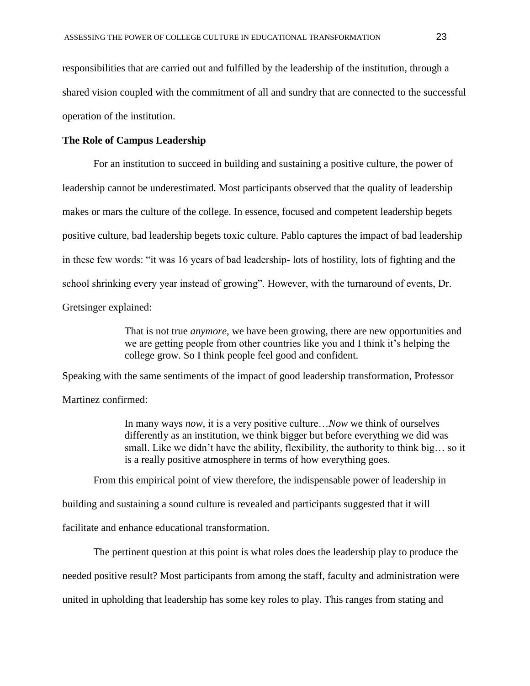responsibilities that are carried out and fulfilled by the leadership of the institution, through a shared vision coupled with the commitment of all and sundry that are connected to the successful operation of the institution.

## **The Role of Campus Leadership**

For an institution to succeed in building and sustaining a positive culture, the power of leadership cannot be underestimated. Most participants observed that the quality of leadership makes or mars the culture of the college. In essence, focused and competent leadership begets positive culture, bad leadership begets toxic culture. Pablo captures the impact of bad leadership in these few words: "it was 16 years of bad leadership- lots of hostility, lots of fighting and the school shrinking every year instead of growing". However, with the turnaround of events, Dr. Gretsinger explained:

> That is not true *anymore*, we have been growing, there are new opportunities and we are getting people from other countries like you and I think it's helping the college grow. So I think people feel good and confident.

Speaking with the same sentiments of the impact of good leadership transformation, Professor Martinez confirmed:

> In many ways *now,* it is a very positive culture…*Now* we think of ourselves differently as an institution, we think bigger but before everything we did was small. Like we didn't have the ability, flexibility, the authority to think big… so it is a really positive atmosphere in terms of how everything goes.

From this empirical point of view therefore, the indispensable power of leadership in

building and sustaining a sound culture is revealed and participants suggested that it will

facilitate and enhance educational transformation.

The pertinent question at this point is what roles does the leadership play to produce the needed positive result? Most participants from among the staff, faculty and administration were united in upholding that leadership has some key roles to play. This ranges from stating and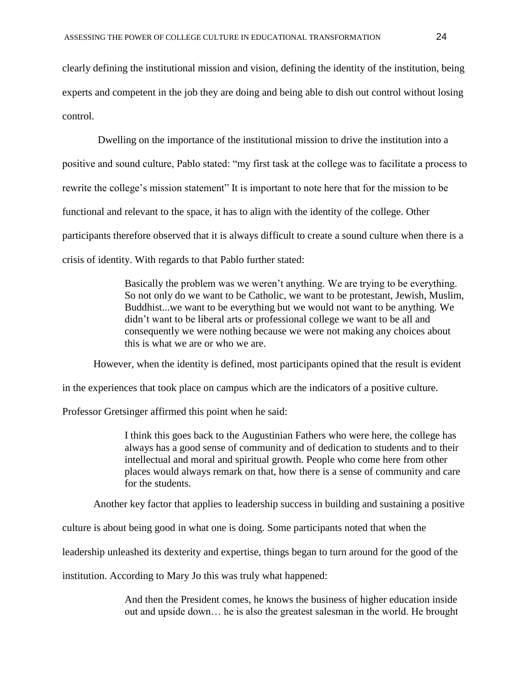clearly defining the institutional mission and vision, defining the identity of the institution, being experts and competent in the job they are doing and being able to dish out control without losing control.

Dwelling on the importance of the institutional mission to drive the institution into a positive and sound culture, Pablo stated: "my first task at the college was to facilitate a process to rewrite the college's mission statement" It is important to note here that for the mission to be functional and relevant to the space, it has to align with the identity of the college. Other participants therefore observed that it is always difficult to create a sound culture when there is a crisis of identity. With regards to that Pablo further stated:

> Basically the problem was we weren't anything. We are trying to be everything. So not only do we want to be Catholic, we want to be protestant, Jewish, Muslim, Buddhist...we want to be everything but we would not want to be anything. We didn't want to be liberal arts or professional college we want to be all and consequently we were nothing because we were not making any choices about this is what we are or who we are.

However, when the identity is defined, most participants opined that the result is evident

in the experiences that took place on campus which are the indicators of a positive culture.

Professor Gretsinger affirmed this point when he said:

I think this goes back to the Augustinian Fathers who were here, the college has always has a good sense of community and of dedication to students and to their intellectual and moral and spiritual growth. People who come here from other places would always remark on that, how there is a sense of community and care for the students.

Another key factor that applies to leadership success in building and sustaining a positive

culture is about being good in what one is doing. Some participants noted that when the

leadership unleashed its dexterity and expertise, things began to turn around for the good of the

institution. According to Mary Jo this was truly what happened:

And then the President comes, he knows the business of higher education inside out and upside down… he is also the greatest salesman in the world. He brought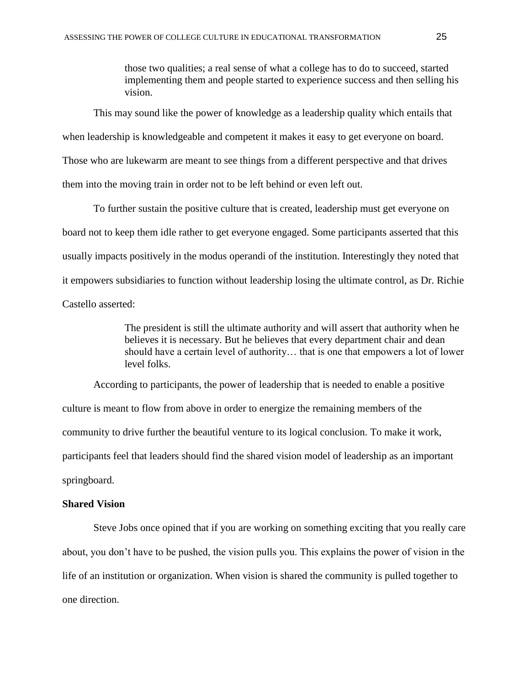those two qualities; a real sense of what a college has to do to succeed, started implementing them and people started to experience success and then selling his vision.

This may sound like the power of knowledge as a leadership quality which entails that

when leadership is knowledgeable and competent it makes it easy to get everyone on board.

Those who are lukewarm are meant to see things from a different perspective and that drives

them into the moving train in order not to be left behind or even left out.

To further sustain the positive culture that is created, leadership must get everyone on board not to keep them idle rather to get everyone engaged. Some participants asserted that this usually impacts positively in the modus operandi of the institution. Interestingly they noted that it empowers subsidiaries to function without leadership losing the ultimate control, as Dr. Richie Castello asserted:

> The president is still the ultimate authority and will assert that authority when he believes it is necessary. But he believes that every department chair and dean should have a certain level of authority… that is one that empowers a lot of lower level folks.

 According to participants, the power of leadership that is needed to enable a positive culture is meant to flow from above in order to energize the remaining members of the community to drive further the beautiful venture to its logical conclusion. To make it work, participants feel that leaders should find the shared vision model of leadership as an important springboard.

## **Shared Vision**

Steve Jobs once opined that if you are working on something exciting that you really care about, you don't have to be pushed, the vision pulls you. This explains the power of vision in the life of an institution or organization. When vision is shared the community is pulled together to one direction.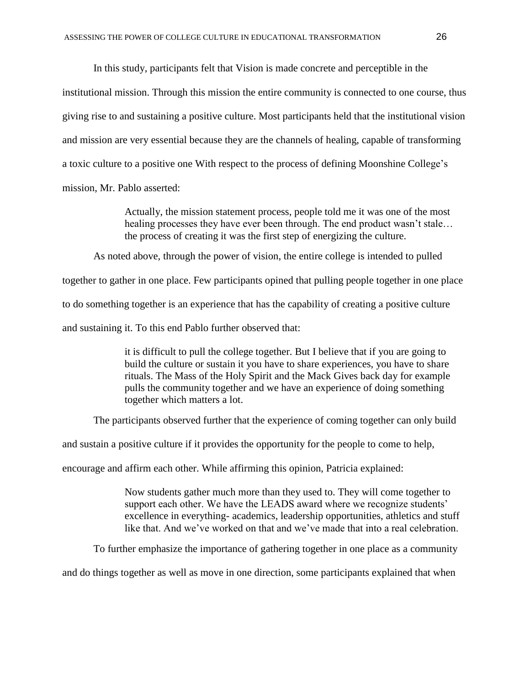In this study, participants felt that Vision is made concrete and perceptible in the institutional mission. Through this mission the entire community is connected to one course, thus giving rise to and sustaining a positive culture. Most participants held that the institutional vision and mission are very essential because they are the channels of healing, capable of transforming a toxic culture to a positive one With respect to the process of defining Moonshine College's mission, Mr. Pablo asserted:

> Actually, the mission statement process, people told me it was one of the most healing processes they have ever been through. The end product wasn't stale… the process of creating it was the first step of energizing the culture.

As noted above, through the power of vision, the entire college is intended to pulled

together to gather in one place. Few participants opined that pulling people together in one place

to do something together is an experience that has the capability of creating a positive culture

and sustaining it. To this end Pablo further observed that:

it is difficult to pull the college together. But I believe that if you are going to build the culture or sustain it you have to share experiences, you have to share rituals. The Mass of the Holy Spirit and the Mack Gives back day for example pulls the community together and we have an experience of doing something together which matters a lot.

The participants observed further that the experience of coming together can only build

and sustain a positive culture if it provides the opportunity for the people to come to help,

encourage and affirm each other. While affirming this opinion, Patricia explained:

Now students gather much more than they used to. They will come together to support each other. We have the LEADS award where we recognize students' excellence in everything- academics, leadership opportunities, athletics and stuff like that. And we've worked on that and we've made that into a real celebration.

To further emphasize the importance of gathering together in one place as a community

and do things together as well as move in one direction, some participants explained that when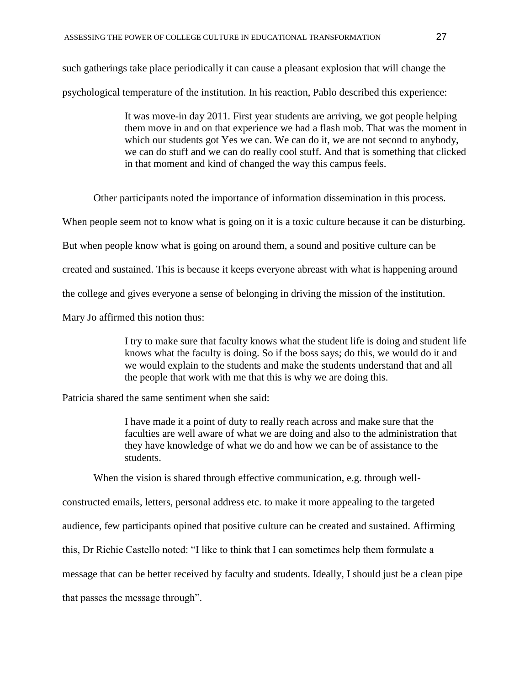such gatherings take place periodically it can cause a pleasant explosion that will change the psychological temperature of the institution. In his reaction, Pablo described this experience:

> It was move-in day 2011. First year students are arriving, we got people helping them move in and on that experience we had a flash mob. That was the moment in which our students got Yes we can. We can do it, we are not second to anybody, we can do stuff and we can do really cool stuff. And that is something that clicked in that moment and kind of changed the way this campus feels.

Other participants noted the importance of information dissemination in this process.

When people seem not to know what is going on it is a toxic culture because it can be disturbing.

But when people know what is going on around them, a sound and positive culture can be

created and sustained. This is because it keeps everyone abreast with what is happening around

the college and gives everyone a sense of belonging in driving the mission of the institution.

Mary Jo affirmed this notion thus:

I try to make sure that faculty knows what the student life is doing and student life knows what the faculty is doing. So if the boss says; do this, we would do it and we would explain to the students and make the students understand that and all the people that work with me that this is why we are doing this.

Patricia shared the same sentiment when she said:

I have made it a point of duty to really reach across and make sure that the faculties are well aware of what we are doing and also to the administration that they have knowledge of what we do and how we can be of assistance to the students.

When the vision is shared through effective communication, e.g. through well-

constructed emails, letters, personal address etc. to make it more appealing to the targeted audience, few participants opined that positive culture can be created and sustained. Affirming this, Dr Richie Castello noted: "I like to think that I can sometimes help them formulate a message that can be better received by faculty and students. Ideally, I should just be a clean pipe that passes the message through".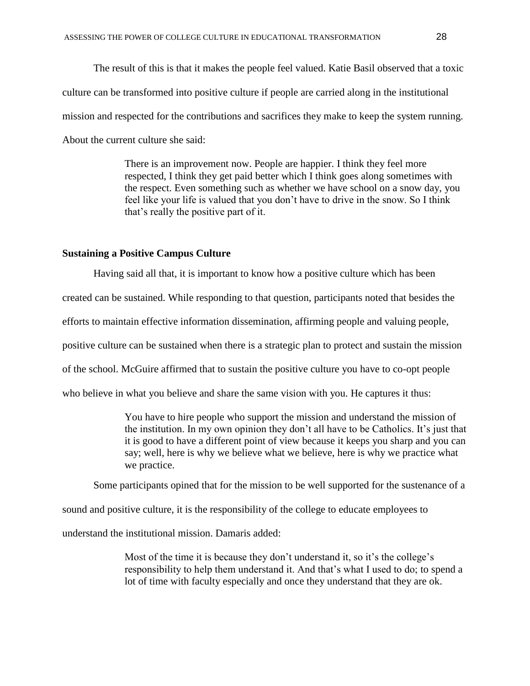The result of this is that it makes the people feel valued. Katie Basil observed that a toxic culture can be transformed into positive culture if people are carried along in the institutional mission and respected for the contributions and sacrifices they make to keep the system running. About the current culture she said:

> There is an improvement now. People are happier. I think they feel more respected, I think they get paid better which I think goes along sometimes with the respect. Even something such as whether we have school on a snow day, you feel like your life is valued that you don't have to drive in the snow. So I think that's really the positive part of it.

## **Sustaining a Positive Campus Culture**

Having said all that, it is important to know how a positive culture which has been created can be sustained. While responding to that question, participants noted that besides the efforts to maintain effective information dissemination, affirming people and valuing people, positive culture can be sustained when there is a strategic plan to protect and sustain the mission of the school. McGuire affirmed that to sustain the positive culture you have to co-opt people who believe in what you believe and share the same vision with you. He captures it thus:

> You have to hire people who support the mission and understand the mission of the institution. In my own opinion they don't all have to be Catholics. It's just that it is good to have a different point of view because it keeps you sharp and you can say; well, here is why we believe what we believe, here is why we practice what we practice.

Some participants opined that for the mission to be well supported for the sustenance of a

sound and positive culture, it is the responsibility of the college to educate employees to

understand the institutional mission. Damaris added:

Most of the time it is because they don't understand it, so it's the college's responsibility to help them understand it. And that's what I used to do; to spend a lot of time with faculty especially and once they understand that they are ok.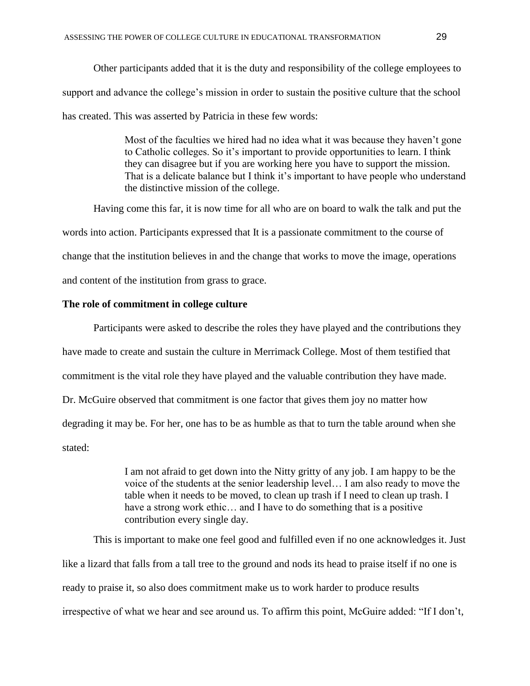Other participants added that it is the duty and responsibility of the college employees to support and advance the college's mission in order to sustain the positive culture that the school has created. This was asserted by Patricia in these few words:

> Most of the faculties we hired had no idea what it was because they haven't gone to Catholic colleges. So it's important to provide opportunities to learn. I think they can disagree but if you are working here you have to support the mission. That is a delicate balance but I think it's important to have people who understand the distinctive mission of the college.

Having come this far, it is now time for all who are on board to walk the talk and put the words into action. Participants expressed that It is a passionate commitment to the course of change that the institution believes in and the change that works to move the image, operations and content of the institution from grass to grace.

## **The role of commitment in college culture**

Participants were asked to describe the roles they have played and the contributions they have made to create and sustain the culture in Merrimack College. Most of them testified that commitment is the vital role they have played and the valuable contribution they have made. Dr. McGuire observed that commitment is one factor that gives them joy no matter how degrading it may be. For her, one has to be as humble as that to turn the table around when she stated:

> I am not afraid to get down into the Nitty gritty of any job. I am happy to be the voice of the students at the senior leadership level… I am also ready to move the table when it needs to be moved, to clean up trash if I need to clean up trash. I have a strong work ethic… and I have to do something that is a positive contribution every single day.

This is important to make one feel good and fulfilled even if no one acknowledges it. Just like a lizard that falls from a tall tree to the ground and nods its head to praise itself if no one is ready to praise it, so also does commitment make us to work harder to produce results irrespective of what we hear and see around us. To affirm this point, McGuire added: "If I don't,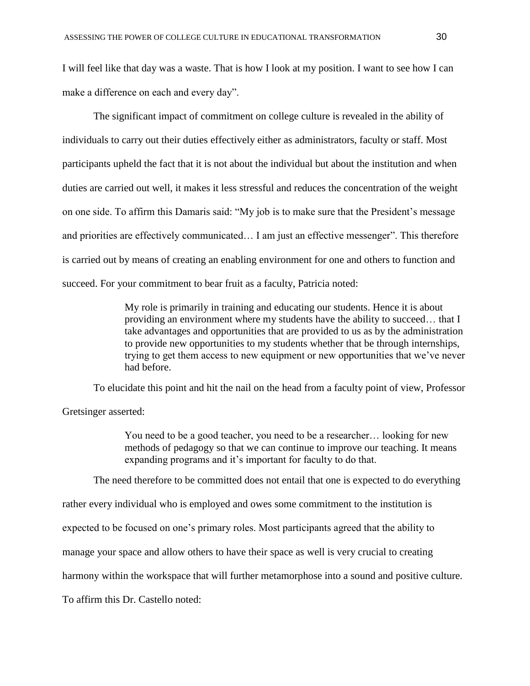I will feel like that day was a waste. That is how I look at my position. I want to see how I can make a difference on each and every day".

The significant impact of commitment on college culture is revealed in the ability of individuals to carry out their duties effectively either as administrators, faculty or staff. Most participants upheld the fact that it is not about the individual but about the institution and when duties are carried out well, it makes it less stressful and reduces the concentration of the weight on one side. To affirm this Damaris said: "My job is to make sure that the President's message and priorities are effectively communicated… I am just an effective messenger". This therefore is carried out by means of creating an enabling environment for one and others to function and succeed. For your commitment to bear fruit as a faculty, Patricia noted:

> My role is primarily in training and educating our students. Hence it is about providing an environment where my students have the ability to succeed… that I take advantages and opportunities that are provided to us as by the administration to provide new opportunities to my students whether that be through internships, trying to get them access to new equipment or new opportunities that we've never had before.

To elucidate this point and hit the nail on the head from a faculty point of view, Professor Gretsinger asserted:

> You need to be a good teacher, you need to be a researcher… looking for new methods of pedagogy so that we can continue to improve our teaching. It means expanding programs and it's important for faculty to do that.

The need therefore to be committed does not entail that one is expected to do everything

rather every individual who is employed and owes some commitment to the institution is

expected to be focused on one's primary roles. Most participants agreed that the ability to

manage your space and allow others to have their space as well is very crucial to creating

harmony within the workspace that will further metamorphose into a sound and positive culture.

To affirm this Dr. Castello noted: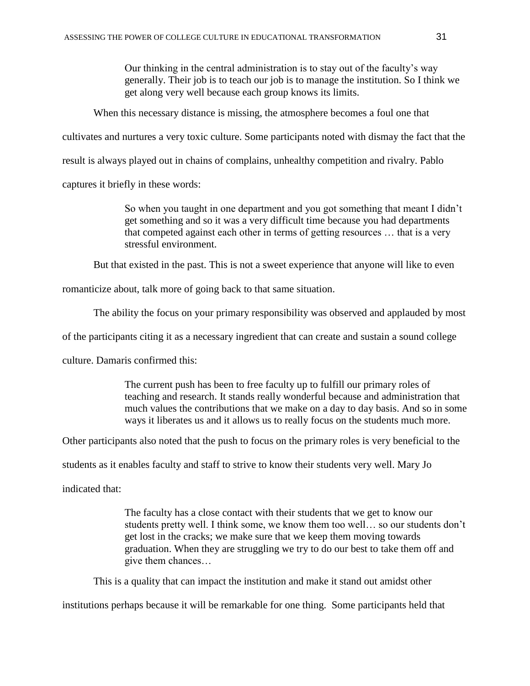Our thinking in the central administration is to stay out of the faculty's way generally. Their job is to teach our job is to manage the institution. So I think we get along very well because each group knows its limits.

When this necessary distance is missing, the atmosphere becomes a foul one that

cultivates and nurtures a very toxic culture. Some participants noted with dismay the fact that the

result is always played out in chains of complains, unhealthy competition and rivalry. Pablo

captures it briefly in these words:

So when you taught in one department and you got something that meant I didn't get something and so it was a very difficult time because you had departments that competed against each other in terms of getting resources … that is a very stressful environment.

But that existed in the past. This is not a sweet experience that anyone will like to even

romanticize about, talk more of going back to that same situation.

The ability the focus on your primary responsibility was observed and applauded by most

of the participants citing it as a necessary ingredient that can create and sustain a sound college

culture. Damaris confirmed this:

The current push has been to free faculty up to fulfill our primary roles of teaching and research. It stands really wonderful because and administration that much values the contributions that we make on a day to day basis. And so in some ways it liberates us and it allows us to really focus on the students much more.

Other participants also noted that the push to focus on the primary roles is very beneficial to the

students as it enables faculty and staff to strive to know their students very well. Mary Jo

indicated that:

The faculty has a close contact with their students that we get to know our students pretty well. I think some, we know them too well… so our students don't get lost in the cracks; we make sure that we keep them moving towards graduation. When they are struggling we try to do our best to take them off and give them chances…

This is a quality that can impact the institution and make it stand out amidst other

institutions perhaps because it will be remarkable for one thing. Some participants held that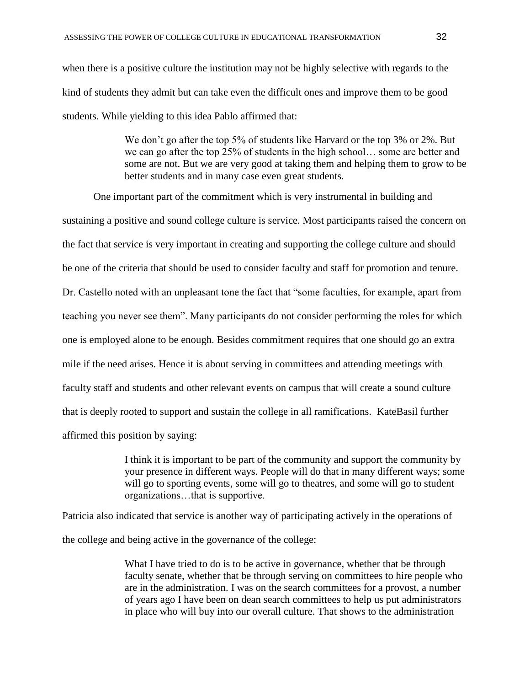when there is a positive culture the institution may not be highly selective with regards to the kind of students they admit but can take even the difficult ones and improve them to be good students. While yielding to this idea Pablo affirmed that:

> We don't go after the top 5% of students like Harvard or the top 3% or 2%. But we can go after the top 25% of students in the high school… some are better and some are not. But we are very good at taking them and helping them to grow to be better students and in many case even great students.

One important part of the commitment which is very instrumental in building and sustaining a positive and sound college culture is service. Most participants raised the concern on the fact that service is very important in creating and supporting the college culture and should be one of the criteria that should be used to consider faculty and staff for promotion and tenure. Dr. Castello noted with an unpleasant tone the fact that "some faculties, for example, apart from teaching you never see them". Many participants do not consider performing the roles for which one is employed alone to be enough. Besides commitment requires that one should go an extra mile if the need arises. Hence it is about serving in committees and attending meetings with faculty staff and students and other relevant events on campus that will create a sound culture that is deeply rooted to support and sustain the college in all ramifications. KateBasil further affirmed this position by saying:

> I think it is important to be part of the community and support the community by your presence in different ways. People will do that in many different ways; some will go to sporting events, some will go to theatres, and some will go to student organizations…that is supportive.

Patricia also indicated that service is another way of participating actively in the operations of the college and being active in the governance of the college:

> What I have tried to do is to be active in governance, whether that be through faculty senate, whether that be through serving on committees to hire people who are in the administration. I was on the search committees for a provost, a number of years ago I have been on dean search committees to help us put administrators in place who will buy into our overall culture. That shows to the administration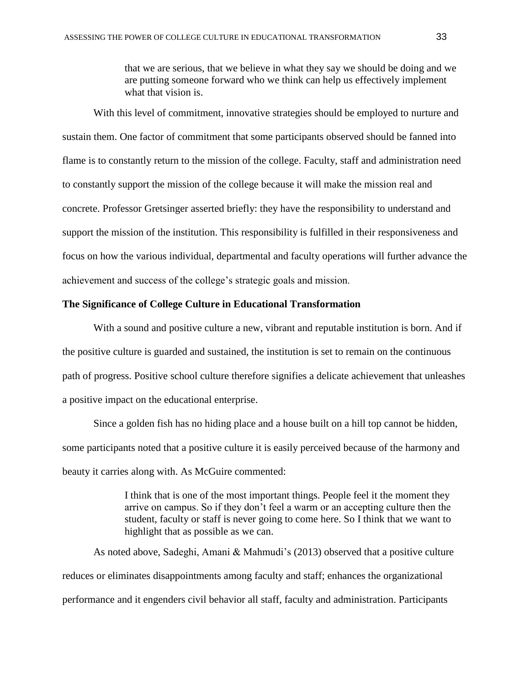that we are serious, that we believe in what they say we should be doing and we are putting someone forward who we think can help us effectively implement what that vision is.

With this level of commitment, innovative strategies should be employed to nurture and sustain them. One factor of commitment that some participants observed should be fanned into flame is to constantly return to the mission of the college. Faculty, staff and administration need to constantly support the mission of the college because it will make the mission real and concrete. Professor Gretsinger asserted briefly: they have the responsibility to understand and support the mission of the institution. This responsibility is fulfilled in their responsiveness and focus on how the various individual, departmental and faculty operations will further advance the achievement and success of the college's strategic goals and mission.

## **The Significance of College Culture in Educational Transformation**

With a sound and positive culture a new, vibrant and reputable institution is born. And if the positive culture is guarded and sustained, the institution is set to remain on the continuous path of progress. Positive school culture therefore signifies a delicate achievement that unleashes a positive impact on the educational enterprise.

Since a golden fish has no hiding place and a house built on a hill top cannot be hidden, some participants noted that a positive culture it is easily perceived because of the harmony and beauty it carries along with. As McGuire commented:

> I think that is one of the most important things. People feel it the moment they arrive on campus. So if they don't feel a warm or an accepting culture then the student, faculty or staff is never going to come here. So I think that we want to highlight that as possible as we can.

As noted above, Sadeghi, Amani & Mahmudi's (2013) observed that a positive culture reduces or eliminates disappointments among faculty and staff; enhances the organizational performance and it engenders civil behavior all staff, faculty and administration. Participants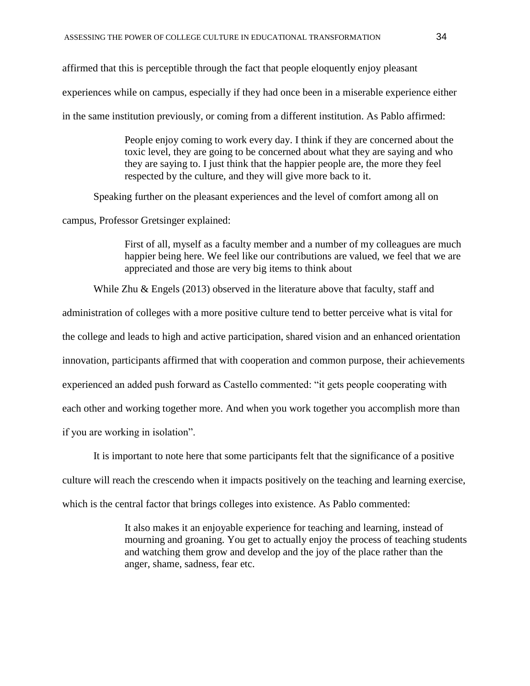affirmed that this is perceptible through the fact that people eloquently enjoy pleasant experiences while on campus, especially if they had once been in a miserable experience either in the same institution previously, or coming from a different institution. As Pablo affirmed:

> People enjoy coming to work every day. I think if they are concerned about the toxic level, they are going to be concerned about what they are saying and who they are saying to. I just think that the happier people are, the more they feel respected by the culture, and they will give more back to it.

Speaking further on the pleasant experiences and the level of comfort among all on

campus, Professor Gretsinger explained:

First of all, myself as a faculty member and a number of my colleagues are much happier being here. We feel like our contributions are valued, we feel that we are appreciated and those are very big items to think about

While Zhu & Engels (2013) observed in the literature above that faculty, staff and

administration of colleges with a more positive culture tend to better perceive what is vital for

the college and leads to high and active participation, shared vision and an enhanced orientation

innovation, participants affirmed that with cooperation and common purpose, their achievements

experienced an added push forward as Castello commented: "it gets people cooperating with

each other and working together more. And when you work together you accomplish more than

if you are working in isolation".

It is important to note here that some participants felt that the significance of a positive

culture will reach the crescendo when it impacts positively on the teaching and learning exercise,

which is the central factor that brings colleges into existence. As Pablo commented:

It also makes it an enjoyable experience for teaching and learning, instead of mourning and groaning. You get to actually enjoy the process of teaching students and watching them grow and develop and the joy of the place rather than the anger, shame, sadness, fear etc.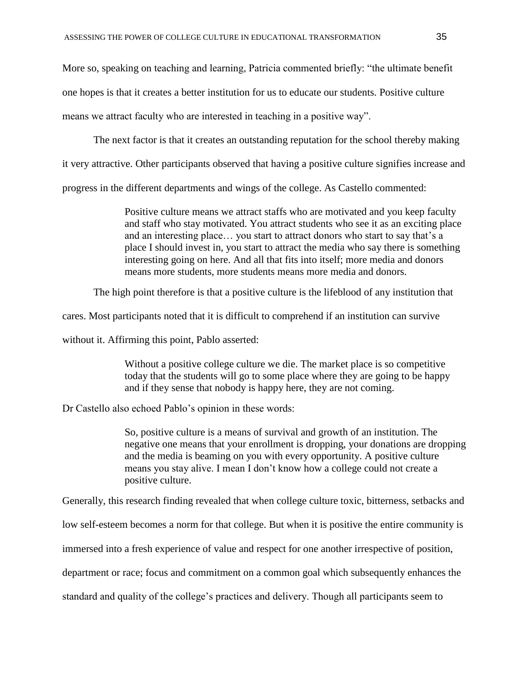More so, speaking on teaching and learning, Patricia commented briefly: "the ultimate benefit one hopes is that it creates a better institution for us to educate our students. Positive culture means we attract faculty who are interested in teaching in a positive way".

The next factor is that it creates an outstanding reputation for the school thereby making

it very attractive. Other participants observed that having a positive culture signifies increase and

progress in the different departments and wings of the college. As Castello commented:

Positive culture means we attract staffs who are motivated and you keep faculty and staff who stay motivated. You attract students who see it as an exciting place and an interesting place… you start to attract donors who start to say that's a place I should invest in, you start to attract the media who say there is something interesting going on here. And all that fits into itself; more media and donors means more students, more students means more media and donors.

The high point therefore is that a positive culture is the lifeblood of any institution that

cares. Most participants noted that it is difficult to comprehend if an institution can survive

without it. Affirming this point, Pablo asserted:

Without a positive college culture we die. The market place is so competitive today that the students will go to some place where they are going to be happy and if they sense that nobody is happy here, they are not coming.

Dr Castello also echoed Pablo's opinion in these words:

So, positive culture is a means of survival and growth of an institution. The negative one means that your enrollment is dropping, your donations are dropping and the media is beaming on you with every opportunity. A positive culture means you stay alive. I mean I don't know how a college could not create a positive culture.

Generally, this research finding revealed that when college culture toxic, bitterness, setbacks and

low self-esteem becomes a norm for that college. But when it is positive the entire community is

immersed into a fresh experience of value and respect for one another irrespective of position,

department or race; focus and commitment on a common goal which subsequently enhances the

standard and quality of the college's practices and delivery. Though all participants seem to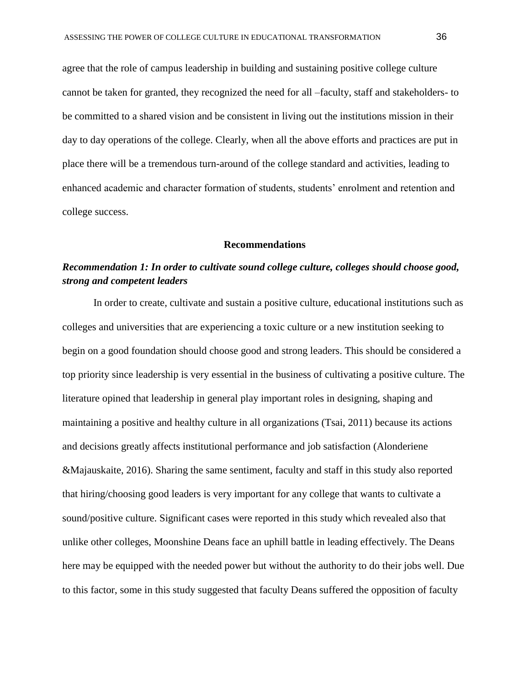agree that the role of campus leadership in building and sustaining positive college culture cannot be taken for granted, they recognized the need for all –faculty, staff and stakeholders- to be committed to a shared vision and be consistent in living out the institutions mission in their day to day operations of the college. Clearly, when all the above efforts and practices are put in place there will be a tremendous turn-around of the college standard and activities, leading to enhanced academic and character formation of students, students' enrolment and retention and college success.

#### **Recommendations**

# *Recommendation 1: In order to cultivate sound college culture, colleges should choose good, strong and competent leaders*

In order to create, cultivate and sustain a positive culture, educational institutions such as colleges and universities that are experiencing a toxic culture or a new institution seeking to begin on a good foundation should choose good and strong leaders. This should be considered a top priority since leadership is very essential in the business of cultivating a positive culture. The literature opined that leadership in general play important roles in designing, shaping and maintaining a positive and healthy culture in all organizations (Tsai, 2011) because its actions and decisions greatly affects institutional performance and job satisfaction (Alonderiene &Majauskaite, 2016). Sharing the same sentiment, faculty and staff in this study also reported that hiring/choosing good leaders is very important for any college that wants to cultivate a sound/positive culture. Significant cases were reported in this study which revealed also that unlike other colleges, Moonshine Deans face an uphill battle in leading effectively. The Deans here may be equipped with the needed power but without the authority to do their jobs well. Due to this factor, some in this study suggested that faculty Deans suffered the opposition of faculty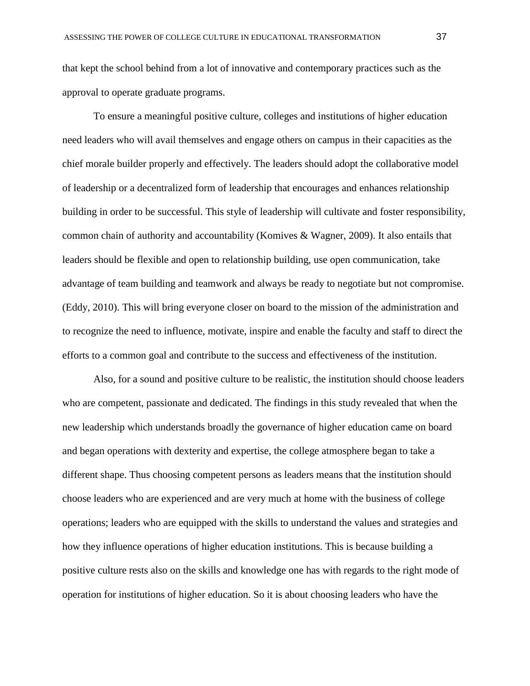that kept the school behind from a lot of innovative and contemporary practices such as the approval to operate graduate programs.

To ensure a meaningful positive culture, colleges and institutions of higher education need leaders who will avail themselves and engage others on campus in their capacities as the chief morale builder properly and effectively. The leaders should adopt the collaborative model of leadership or a decentralized form of leadership that encourages and enhances relationship building in order to be successful. This style of leadership will cultivate and foster responsibility, common chain of authority and accountability (Komives & Wagner, 2009). It also entails that leaders should be flexible and open to relationship building, use open communication, take advantage of team building and teamwork and always be ready to negotiate but not compromise. (Eddy, 2010). This will bring everyone closer on board to the mission of the administration and to recognize the need to influence, motivate, inspire and enable the faculty and staff to direct the efforts to a common goal and contribute to the success and effectiveness of the institution.

Also, for a sound and positive culture to be realistic, the institution should choose leaders who are competent, passionate and dedicated. The findings in this study revealed that when the new leadership which understands broadly the governance of higher education came on board and began operations with dexterity and expertise, the college atmosphere began to take a different shape. Thus choosing competent persons as leaders means that the institution should choose leaders who are experienced and are very much at home with the business of college operations; leaders who are equipped with the skills to understand the values and strategies and how they influence operations of higher education institutions. This is because building a positive culture rests also on the skills and knowledge one has with regards to the right mode of operation for institutions of higher education. So it is about choosing leaders who have the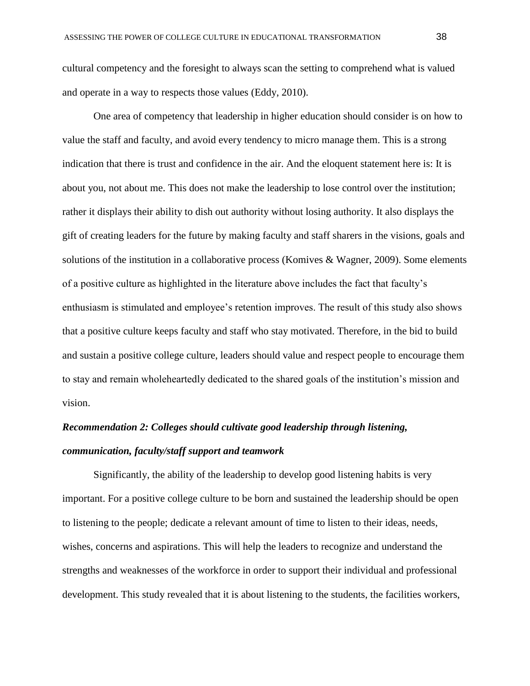cultural competency and the foresight to always scan the setting to comprehend what is valued and operate in a way to respects those values (Eddy, 2010).

One area of competency that leadership in higher education should consider is on how to value the staff and faculty, and avoid every tendency to micro manage them. This is a strong indication that there is trust and confidence in the air. And the eloquent statement here is: It is about you, not about me. This does not make the leadership to lose control over the institution; rather it displays their ability to dish out authority without losing authority. It also displays the gift of creating leaders for the future by making faculty and staff sharers in the visions, goals and solutions of the institution in a collaborative process (Komives & Wagner, 2009). Some elements of a positive culture as highlighted in the literature above includes the fact that faculty's enthusiasm is stimulated and employee's retention improves. The result of this study also shows that a positive culture keeps faculty and staff who stay motivated. Therefore, in the bid to build and sustain a positive college culture, leaders should value and respect people to encourage them to stay and remain wholeheartedly dedicated to the shared goals of the institution's mission and vision.

# *Recommendation 2: Colleges should cultivate good leadership through listening, communication, faculty/staff support and teamwork*

Significantly, the ability of the leadership to develop good listening habits is very important. For a positive college culture to be born and sustained the leadership should be open to listening to the people; dedicate a relevant amount of time to listen to their ideas, needs, wishes, concerns and aspirations. This will help the leaders to recognize and understand the strengths and weaknesses of the workforce in order to support their individual and professional development. This study revealed that it is about listening to the students, the facilities workers,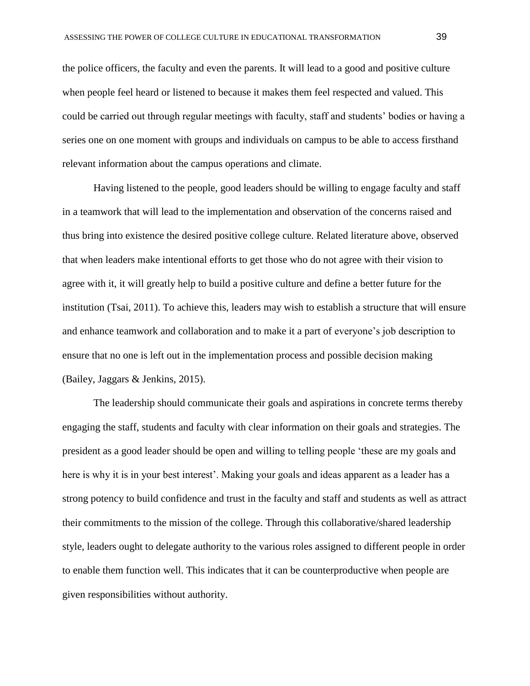the police officers, the faculty and even the parents. It will lead to a good and positive culture when people feel heard or listened to because it makes them feel respected and valued. This could be carried out through regular meetings with faculty, staff and students' bodies or having a series one on one moment with groups and individuals on campus to be able to access firsthand relevant information about the campus operations and climate.

Having listened to the people, good leaders should be willing to engage faculty and staff in a teamwork that will lead to the implementation and observation of the concerns raised and thus bring into existence the desired positive college culture. Related literature above, observed that when leaders make intentional efforts to get those who do not agree with their vision to agree with it, it will greatly help to build a positive culture and define a better future for the institution (Tsai, 2011). To achieve this, leaders may wish to establish a structure that will ensure and enhance teamwork and collaboration and to make it a part of everyone's job description to ensure that no one is left out in the implementation process and possible decision making (Bailey, Jaggars & Jenkins, 2015).

The leadership should communicate their goals and aspirations in concrete terms thereby engaging the staff, students and faculty with clear information on their goals and strategies. The president as a good leader should be open and willing to telling people 'these are my goals and here is why it is in your best interest'. Making your goals and ideas apparent as a leader has a strong potency to build confidence and trust in the faculty and staff and students as well as attract their commitments to the mission of the college. Through this collaborative/shared leadership style, leaders ought to delegate authority to the various roles assigned to different people in order to enable them function well. This indicates that it can be counterproductive when people are given responsibilities without authority.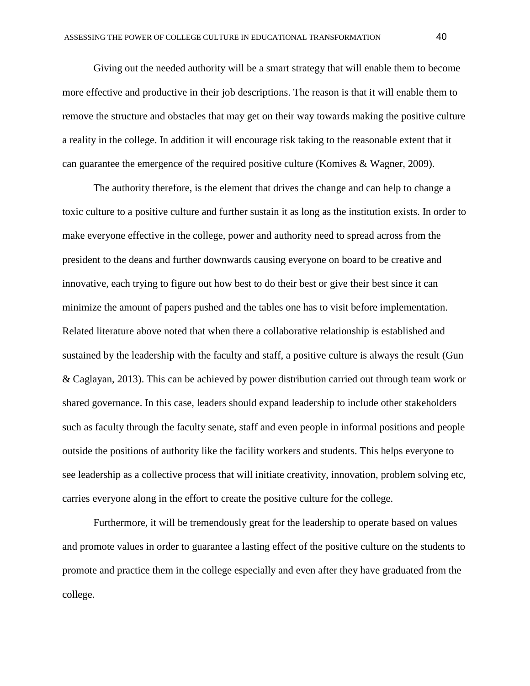Giving out the needed authority will be a smart strategy that will enable them to become more effective and productive in their job descriptions. The reason is that it will enable them to remove the structure and obstacles that may get on their way towards making the positive culture a reality in the college. In addition it will encourage risk taking to the reasonable extent that it can guarantee the emergence of the required positive culture (Komives & Wagner, 2009).

The authority therefore, is the element that drives the change and can help to change a toxic culture to a positive culture and further sustain it as long as the institution exists. In order to make everyone effective in the college, power and authority need to spread across from the president to the deans and further downwards causing everyone on board to be creative and innovative, each trying to figure out how best to do their best or give their best since it can minimize the amount of papers pushed and the tables one has to visit before implementation. Related literature above noted that when there a collaborative relationship is established and sustained by the leadership with the faculty and staff, a positive culture is always the result (Gun & Caglayan, 2013). This can be achieved by power distribution carried out through team work or shared governance. In this case, leaders should expand leadership to include other stakeholders such as faculty through the faculty senate, staff and even people in informal positions and people outside the positions of authority like the facility workers and students. This helps everyone to see leadership as a collective process that will initiate creativity, innovation, problem solving etc, carries everyone along in the effort to create the positive culture for the college.

Furthermore, it will be tremendously great for the leadership to operate based on values and promote values in order to guarantee a lasting effect of the positive culture on the students to promote and practice them in the college especially and even after they have graduated from the college.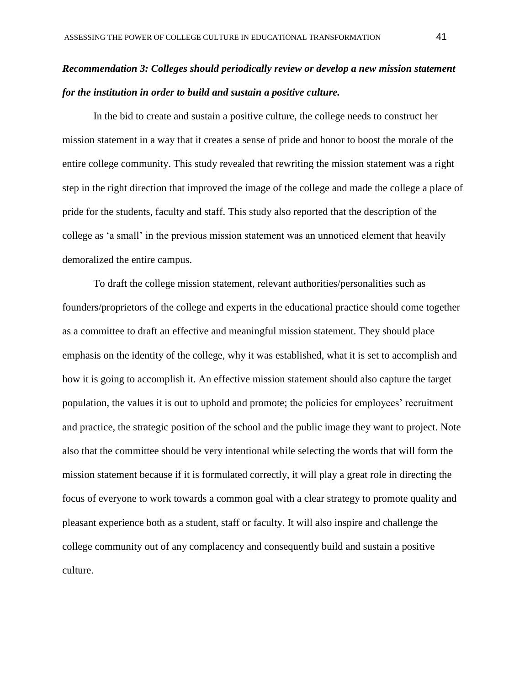# *Recommendation 3: Colleges should periodically review or develop a new mission statement for the institution in order to build and sustain a positive culture.*

In the bid to create and sustain a positive culture, the college needs to construct her mission statement in a way that it creates a sense of pride and honor to boost the morale of the entire college community. This study revealed that rewriting the mission statement was a right step in the right direction that improved the image of the college and made the college a place of pride for the students, faculty and staff. This study also reported that the description of the college as 'a small' in the previous mission statement was an unnoticed element that heavily demoralized the entire campus.

To draft the college mission statement, relevant authorities/personalities such as founders/proprietors of the college and experts in the educational practice should come together as a committee to draft an effective and meaningful mission statement. They should place emphasis on the identity of the college, why it was established, what it is set to accomplish and how it is going to accomplish it. An effective mission statement should also capture the target population, the values it is out to uphold and promote; the policies for employees' recruitment and practice, the strategic position of the school and the public image they want to project. Note also that the committee should be very intentional while selecting the words that will form the mission statement because if it is formulated correctly, it will play a great role in directing the focus of everyone to work towards a common goal with a clear strategy to promote quality and pleasant experience both as a student, staff or faculty. It will also inspire and challenge the college community out of any complacency and consequently build and sustain a positive culture.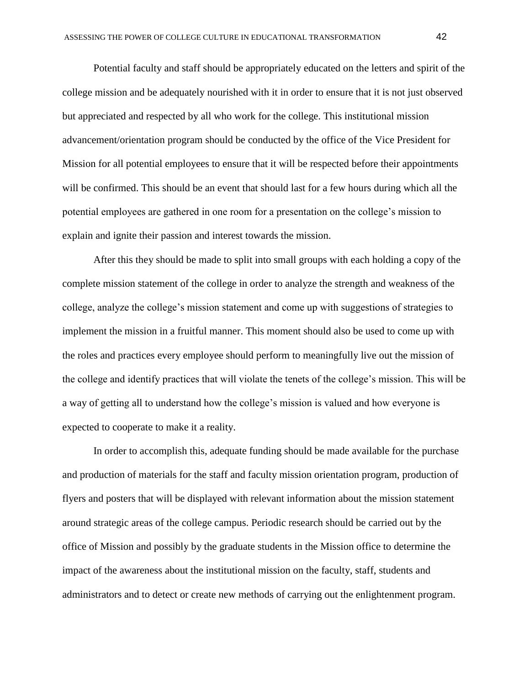Potential faculty and staff should be appropriately educated on the letters and spirit of the college mission and be adequately nourished with it in order to ensure that it is not just observed but appreciated and respected by all who work for the college. This institutional mission advancement/orientation program should be conducted by the office of the Vice President for Mission for all potential employees to ensure that it will be respected before their appointments will be confirmed. This should be an event that should last for a few hours during which all the potential employees are gathered in one room for a presentation on the college's mission to explain and ignite their passion and interest towards the mission.

After this they should be made to split into small groups with each holding a copy of the complete mission statement of the college in order to analyze the strength and weakness of the college, analyze the college's mission statement and come up with suggestions of strategies to implement the mission in a fruitful manner. This moment should also be used to come up with the roles and practices every employee should perform to meaningfully live out the mission of the college and identify practices that will violate the tenets of the college's mission. This will be a way of getting all to understand how the college's mission is valued and how everyone is expected to cooperate to make it a reality.

In order to accomplish this, adequate funding should be made available for the purchase and production of materials for the staff and faculty mission orientation program, production of flyers and posters that will be displayed with relevant information about the mission statement around strategic areas of the college campus. Periodic research should be carried out by the office of Mission and possibly by the graduate students in the Mission office to determine the impact of the awareness about the institutional mission on the faculty, staff, students and administrators and to detect or create new methods of carrying out the enlightenment program.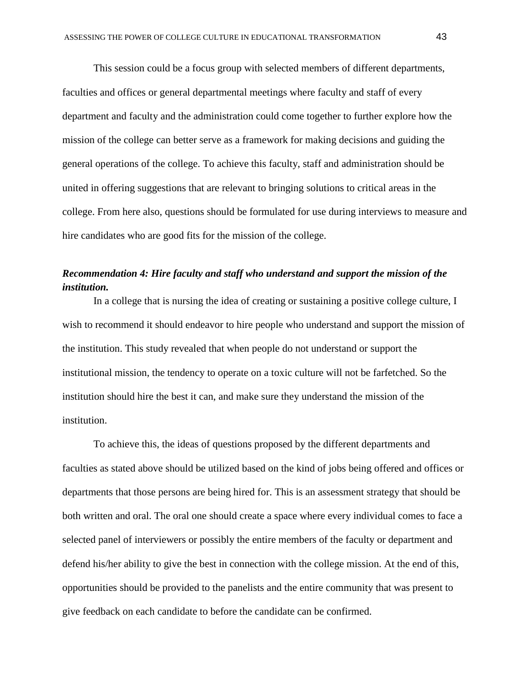This session could be a focus group with selected members of different departments, faculties and offices or general departmental meetings where faculty and staff of every department and faculty and the administration could come together to further explore how the mission of the college can better serve as a framework for making decisions and guiding the general operations of the college. To achieve this faculty, staff and administration should be united in offering suggestions that are relevant to bringing solutions to critical areas in the college. From here also, questions should be formulated for use during interviews to measure and hire candidates who are good fits for the mission of the college.

## *Recommendation 4: Hire faculty and staff who understand and support the mission of the institution.*

In a college that is nursing the idea of creating or sustaining a positive college culture, I wish to recommend it should endeavor to hire people who understand and support the mission of the institution. This study revealed that when people do not understand or support the institutional mission, the tendency to operate on a toxic culture will not be farfetched. So the institution should hire the best it can, and make sure they understand the mission of the institution.

To achieve this, the ideas of questions proposed by the different departments and faculties as stated above should be utilized based on the kind of jobs being offered and offices or departments that those persons are being hired for. This is an assessment strategy that should be both written and oral. The oral one should create a space where every individual comes to face a selected panel of interviewers or possibly the entire members of the faculty or department and defend his/her ability to give the best in connection with the college mission. At the end of this, opportunities should be provided to the panelists and the entire community that was present to give feedback on each candidate to before the candidate can be confirmed.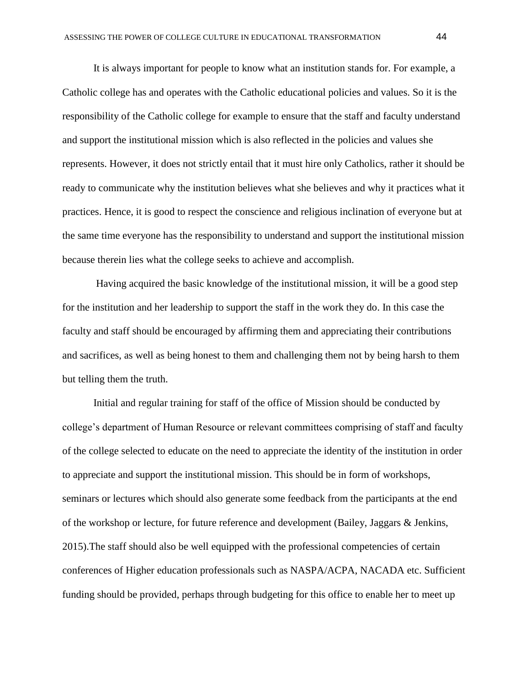It is always important for people to know what an institution stands for. For example, a Catholic college has and operates with the Catholic educational policies and values. So it is the responsibility of the Catholic college for example to ensure that the staff and faculty understand and support the institutional mission which is also reflected in the policies and values she represents. However, it does not strictly entail that it must hire only Catholics, rather it should be ready to communicate why the institution believes what she believes and why it practices what it practices. Hence, it is good to respect the conscience and religious inclination of everyone but at the same time everyone has the responsibility to understand and support the institutional mission because therein lies what the college seeks to achieve and accomplish.

Having acquired the basic knowledge of the institutional mission, it will be a good step for the institution and her leadership to support the staff in the work they do. In this case the faculty and staff should be encouraged by affirming them and appreciating their contributions and sacrifices, as well as being honest to them and challenging them not by being harsh to them but telling them the truth.

Initial and regular training for staff of the office of Mission should be conducted by college's department of Human Resource or relevant committees comprising of staff and faculty of the college selected to educate on the need to appreciate the identity of the institution in order to appreciate and support the institutional mission. This should be in form of workshops, seminars or lectures which should also generate some feedback from the participants at the end of the workshop or lecture, for future reference and development (Bailey, Jaggars & Jenkins, 2015).The staff should also be well equipped with the professional competencies of certain conferences of Higher education professionals such as NASPA/ACPA, NACADA etc. Sufficient funding should be provided, perhaps through budgeting for this office to enable her to meet up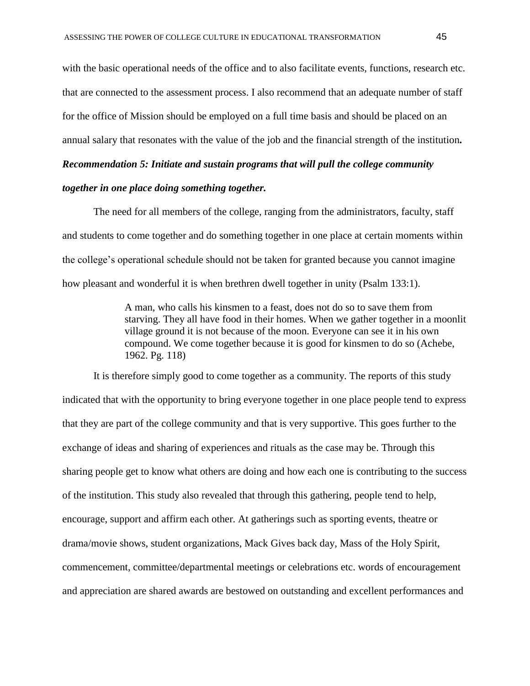with the basic operational needs of the office and to also facilitate events, functions, research etc. that are connected to the assessment process. I also recommend that an adequate number of staff for the office of Mission should be employed on a full time basis and should be placed on an annual salary that resonates with the value of the job and the financial strength of the institution*.*

*Recommendation 5: Initiate and sustain programs that will pull the college community together in one place doing something together.*

The need for all members of the college, ranging from the administrators, faculty, staff and students to come together and do something together in one place at certain moments within the college's operational schedule should not be taken for granted because you cannot imagine how pleasant and wonderful it is when brethren dwell together in unity (Psalm 133:1).

> A man, who calls his kinsmen to a feast, does not do so to save them from starving. They all have food in their homes. When we gather together in a moonlit village ground it is not because of the moon. Everyone can see it in his own compound. We come together because it is good for kinsmen to do so (Achebe, 1962. Pg. 118)

It is therefore simply good to come together as a community. The reports of this study indicated that with the opportunity to bring everyone together in one place people tend to express that they are part of the college community and that is very supportive. This goes further to the exchange of ideas and sharing of experiences and rituals as the case may be. Through this sharing people get to know what others are doing and how each one is contributing to the success of the institution. This study also revealed that through this gathering, people tend to help, encourage, support and affirm each other. At gatherings such as sporting events, theatre or drama/movie shows, student organizations, Mack Gives back day, Mass of the Holy Spirit, commencement, committee/departmental meetings or celebrations etc. words of encouragement and appreciation are shared awards are bestowed on outstanding and excellent performances and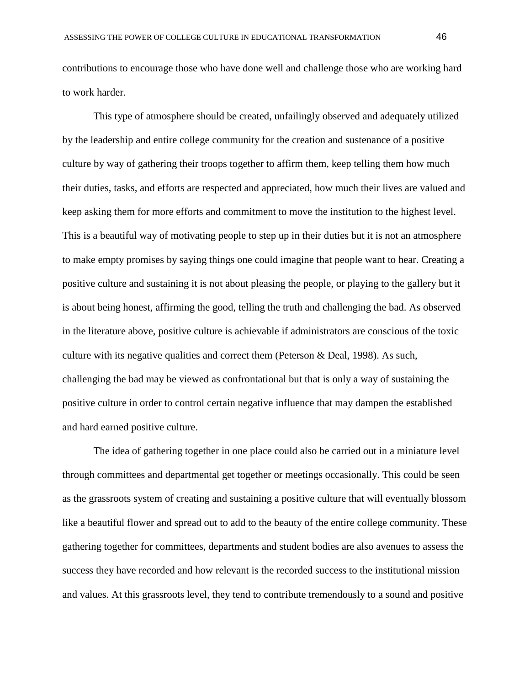contributions to encourage those who have done well and challenge those who are working hard to work harder.

This type of atmosphere should be created, unfailingly observed and adequately utilized by the leadership and entire college community for the creation and sustenance of a positive culture by way of gathering their troops together to affirm them, keep telling them how much their duties, tasks, and efforts are respected and appreciated, how much their lives are valued and keep asking them for more efforts and commitment to move the institution to the highest level. This is a beautiful way of motivating people to step up in their duties but it is not an atmosphere to make empty promises by saying things one could imagine that people want to hear. Creating a positive culture and sustaining it is not about pleasing the people, or playing to the gallery but it is about being honest, affirming the good, telling the truth and challenging the bad. As observed in the literature above, positive culture is achievable if administrators are conscious of the toxic culture with its negative qualities and correct them (Peterson & Deal, 1998). As such, challenging the bad may be viewed as confrontational but that is only a way of sustaining the positive culture in order to control certain negative influence that may dampen the established and hard earned positive culture.

The idea of gathering together in one place could also be carried out in a miniature level through committees and departmental get together or meetings occasionally. This could be seen as the grassroots system of creating and sustaining a positive culture that will eventually blossom like a beautiful flower and spread out to add to the beauty of the entire college community. These gathering together for committees, departments and student bodies are also avenues to assess the success they have recorded and how relevant is the recorded success to the institutional mission and values. At this grassroots level, they tend to contribute tremendously to a sound and positive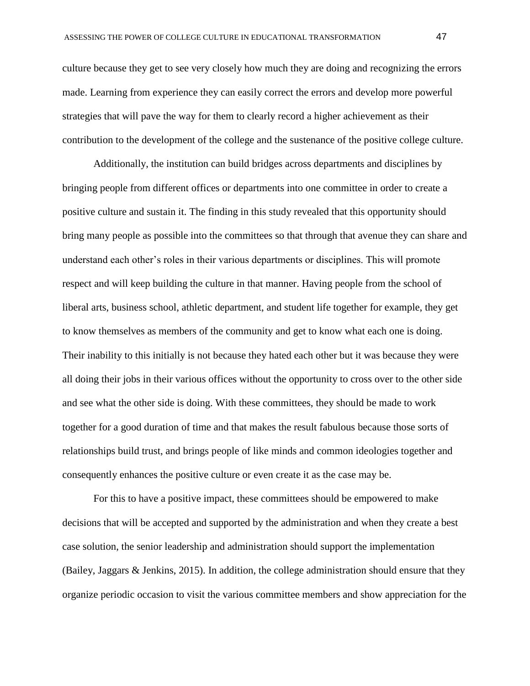culture because they get to see very closely how much they are doing and recognizing the errors made. Learning from experience they can easily correct the errors and develop more powerful strategies that will pave the way for them to clearly record a higher achievement as their contribution to the development of the college and the sustenance of the positive college culture.

Additionally, the institution can build bridges across departments and disciplines by bringing people from different offices or departments into one committee in order to create a positive culture and sustain it. The finding in this study revealed that this opportunity should bring many people as possible into the committees so that through that avenue they can share and understand each other's roles in their various departments or disciplines. This will promote respect and will keep building the culture in that manner. Having people from the school of liberal arts, business school, athletic department, and student life together for example, they get to know themselves as members of the community and get to know what each one is doing. Their inability to this initially is not because they hated each other but it was because they were all doing their jobs in their various offices without the opportunity to cross over to the other side and see what the other side is doing. With these committees, they should be made to work together for a good duration of time and that makes the result fabulous because those sorts of relationships build trust, and brings people of like minds and common ideologies together and consequently enhances the positive culture or even create it as the case may be.

For this to have a positive impact, these committees should be empowered to make decisions that will be accepted and supported by the administration and when they create a best case solution, the senior leadership and administration should support the implementation (Bailey, Jaggars & Jenkins, 2015). In addition, the college administration should ensure that they organize periodic occasion to visit the various committee members and show appreciation for the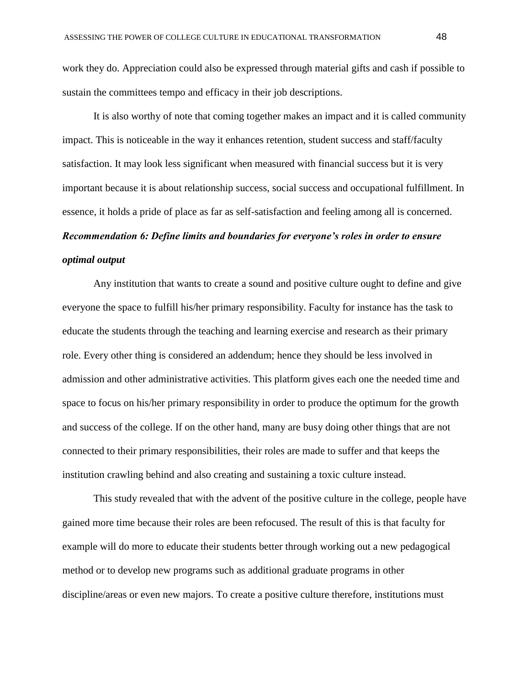work they do. Appreciation could also be expressed through material gifts and cash if possible to sustain the committees tempo and efficacy in their job descriptions.

It is also worthy of note that coming together makes an impact and it is called community impact. This is noticeable in the way it enhances retention, student success and staff/faculty satisfaction. It may look less significant when measured with financial success but it is very important because it is about relationship success, social success and occupational fulfillment. In essence, it holds a pride of place as far as self-satisfaction and feeling among all is concerned. *Recommendation 6: Define limits and boundaries for everyone's roles in order to ensure optimal output*

Any institution that wants to create a sound and positive culture ought to define and give everyone the space to fulfill his/her primary responsibility. Faculty for instance has the task to educate the students through the teaching and learning exercise and research as their primary role. Every other thing is considered an addendum; hence they should be less involved in admission and other administrative activities. This platform gives each one the needed time and space to focus on his/her primary responsibility in order to produce the optimum for the growth and success of the college. If on the other hand, many are busy doing other things that are not connected to their primary responsibilities, their roles are made to suffer and that keeps the institution crawling behind and also creating and sustaining a toxic culture instead.

This study revealed that with the advent of the positive culture in the college, people have gained more time because their roles are been refocused. The result of this is that faculty for example will do more to educate their students better through working out a new pedagogical method or to develop new programs such as additional graduate programs in other discipline/areas or even new majors. To create a positive culture therefore, institutions must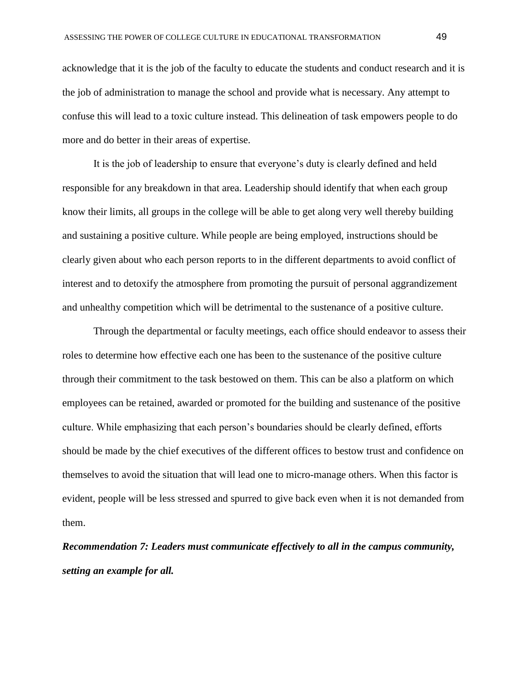acknowledge that it is the job of the faculty to educate the students and conduct research and it is the job of administration to manage the school and provide what is necessary. Any attempt to confuse this will lead to a toxic culture instead. This delineation of task empowers people to do more and do better in their areas of expertise.

It is the job of leadership to ensure that everyone's duty is clearly defined and held responsible for any breakdown in that area. Leadership should identify that when each group know their limits, all groups in the college will be able to get along very well thereby building and sustaining a positive culture. While people are being employed, instructions should be clearly given about who each person reports to in the different departments to avoid conflict of interest and to detoxify the atmosphere from promoting the pursuit of personal aggrandizement and unhealthy competition which will be detrimental to the sustenance of a positive culture.

Through the departmental or faculty meetings, each office should endeavor to assess their roles to determine how effective each one has been to the sustenance of the positive culture through their commitment to the task bestowed on them. This can be also a platform on which employees can be retained, awarded or promoted for the building and sustenance of the positive culture. While emphasizing that each person's boundaries should be clearly defined, efforts should be made by the chief executives of the different offices to bestow trust and confidence on themselves to avoid the situation that will lead one to micro-manage others. When this factor is evident, people will be less stressed and spurred to give back even when it is not demanded from them.

*Recommendation 7: Leaders must communicate effectively to all in the campus community, setting an example for all.*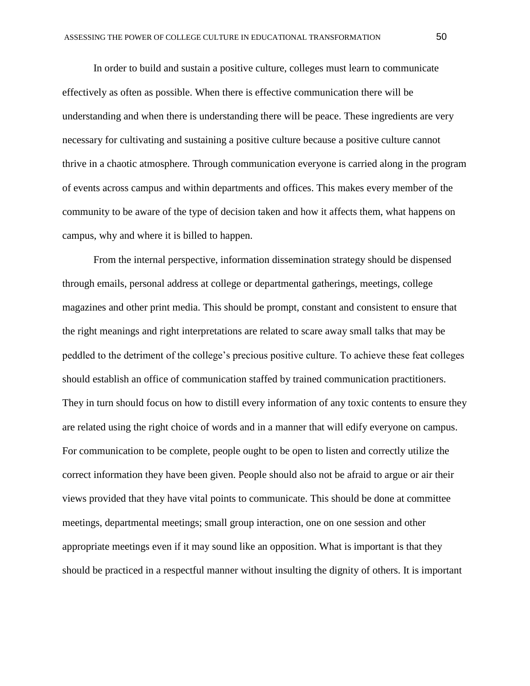In order to build and sustain a positive culture, colleges must learn to communicate effectively as often as possible. When there is effective communication there will be understanding and when there is understanding there will be peace. These ingredients are very necessary for cultivating and sustaining a positive culture because a positive culture cannot thrive in a chaotic atmosphere. Through communication everyone is carried along in the program of events across campus and within departments and offices. This makes every member of the community to be aware of the type of decision taken and how it affects them, what happens on campus, why and where it is billed to happen.

From the internal perspective, information dissemination strategy should be dispensed through emails, personal address at college or departmental gatherings, meetings, college magazines and other print media. This should be prompt, constant and consistent to ensure that the right meanings and right interpretations are related to scare away small talks that may be peddled to the detriment of the college's precious positive culture. To achieve these feat colleges should establish an office of communication staffed by trained communication practitioners. They in turn should focus on how to distill every information of any toxic contents to ensure they are related using the right choice of words and in a manner that will edify everyone on campus. For communication to be complete, people ought to be open to listen and correctly utilize the correct information they have been given. People should also not be afraid to argue or air their views provided that they have vital points to communicate. This should be done at committee meetings, departmental meetings; small group interaction, one on one session and other appropriate meetings even if it may sound like an opposition. What is important is that they should be practiced in a respectful manner without insulting the dignity of others. It is important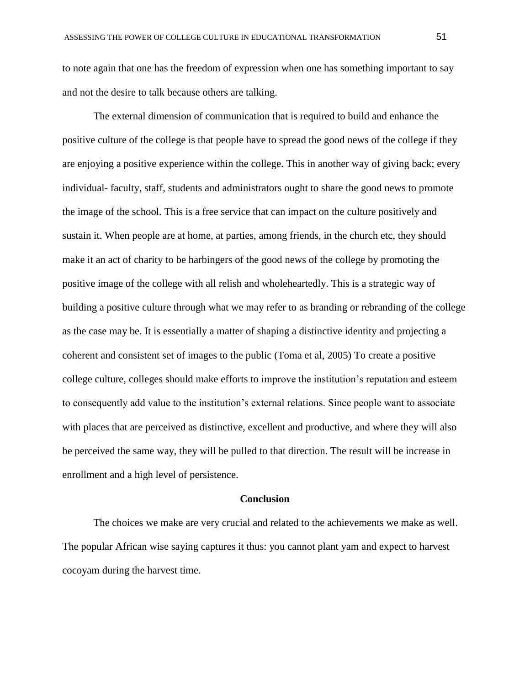to note again that one has the freedom of expression when one has something important to say and not the desire to talk because others are talking.

The external dimension of communication that is required to build and enhance the positive culture of the college is that people have to spread the good news of the college if they are enjoying a positive experience within the college. This in another way of giving back; every individual- faculty, staff, students and administrators ought to share the good news to promote the image of the school. This is a free service that can impact on the culture positively and sustain it. When people are at home, at parties, among friends, in the church etc, they should make it an act of charity to be harbingers of the good news of the college by promoting the positive image of the college with all relish and wholeheartedly. This is a strategic way of building a positive culture through what we may refer to as branding or rebranding of the college as the case may be. It is essentially a matter of shaping a distinctive identity and projecting a coherent and consistent set of images to the public (Toma et al, 2005) To create a positive college culture, colleges should make efforts to improve the institution's reputation and esteem to consequently add value to the institution's external relations. Since people want to associate with places that are perceived as distinctive, excellent and productive, and where they will also be perceived the same way, they will be pulled to that direction. The result will be increase in enrollment and a high level of persistence.

#### **Conclusion**

The choices we make are very crucial and related to the achievements we make as well. The popular African wise saying captures it thus: you cannot plant yam and expect to harvest cocoyam during the harvest time.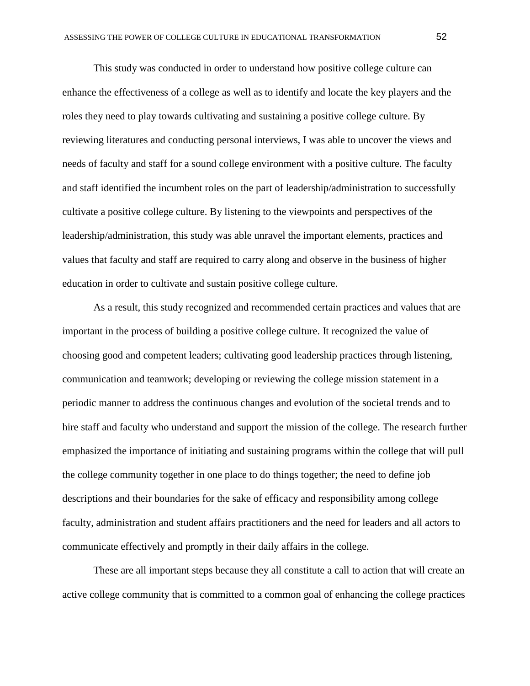This study was conducted in order to understand how positive college culture can enhance the effectiveness of a college as well as to identify and locate the key players and the roles they need to play towards cultivating and sustaining a positive college culture. By reviewing literatures and conducting personal interviews, I was able to uncover the views and needs of faculty and staff for a sound college environment with a positive culture. The faculty and staff identified the incumbent roles on the part of leadership/administration to successfully cultivate a positive college culture. By listening to the viewpoints and perspectives of the leadership/administration, this study was able unravel the important elements, practices and values that faculty and staff are required to carry along and observe in the business of higher education in order to cultivate and sustain positive college culture.

As a result, this study recognized and recommended certain practices and values that are important in the process of building a positive college culture. It recognized the value of choosing good and competent leaders; cultivating good leadership practices through listening, communication and teamwork; developing or reviewing the college mission statement in a periodic manner to address the continuous changes and evolution of the societal trends and to hire staff and faculty who understand and support the mission of the college. The research further emphasized the importance of initiating and sustaining programs within the college that will pull the college community together in one place to do things together; the need to define job descriptions and their boundaries for the sake of efficacy and responsibility among college faculty, administration and student affairs practitioners and the need for leaders and all actors to communicate effectively and promptly in their daily affairs in the college.

These are all important steps because they all constitute a call to action that will create an active college community that is committed to a common goal of enhancing the college practices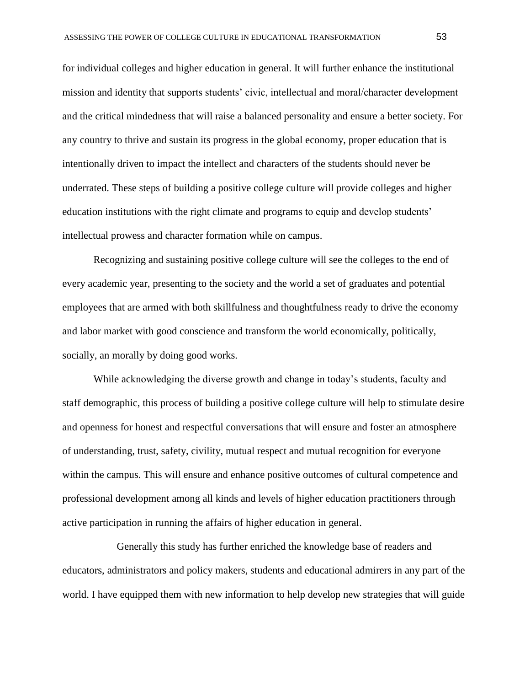for individual colleges and higher education in general. It will further enhance the institutional mission and identity that supports students' civic, intellectual and moral/character development and the critical mindedness that will raise a balanced personality and ensure a better society. For any country to thrive and sustain its progress in the global economy, proper education that is intentionally driven to impact the intellect and characters of the students should never be underrated. These steps of building a positive college culture will provide colleges and higher education institutions with the right climate and programs to equip and develop students' intellectual prowess and character formation while on campus.

Recognizing and sustaining positive college culture will see the colleges to the end of every academic year, presenting to the society and the world a set of graduates and potential employees that are armed with both skillfulness and thoughtfulness ready to drive the economy and labor market with good conscience and transform the world economically, politically, socially, an morally by doing good works.

While acknowledging the diverse growth and change in today's students, faculty and staff demographic, this process of building a positive college culture will help to stimulate desire and openness for honest and respectful conversations that will ensure and foster an atmosphere of understanding, trust, safety, civility, mutual respect and mutual recognition for everyone within the campus. This will ensure and enhance positive outcomes of cultural competence and professional development among all kinds and levels of higher education practitioners through active participation in running the affairs of higher education in general.

Generally this study has further enriched the knowledge base of readers and educators, administrators and policy makers, students and educational admirers in any part of the world. I have equipped them with new information to help develop new strategies that will guide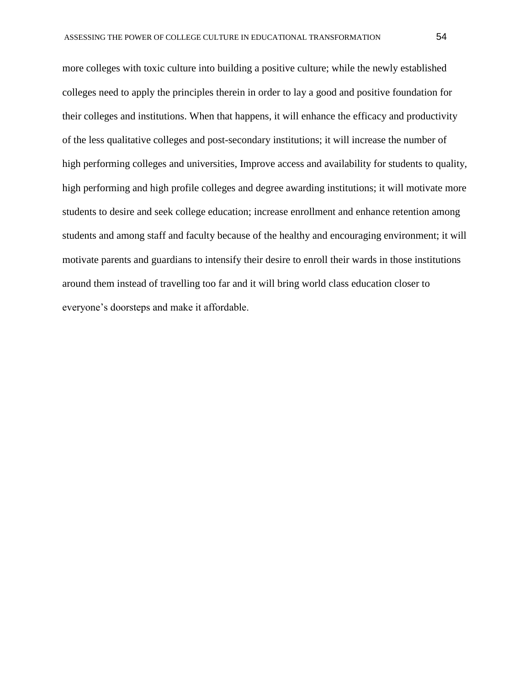more colleges with toxic culture into building a positive culture; while the newly established colleges need to apply the principles therein in order to lay a good and positive foundation for their colleges and institutions. When that happens, it will enhance the efficacy and productivity of the less qualitative colleges and post-secondary institutions; it will increase the number of high performing colleges and universities, Improve access and availability for students to quality, high performing and high profile colleges and degree awarding institutions; it will motivate more students to desire and seek college education; increase enrollment and enhance retention among students and among staff and faculty because of the healthy and encouraging environment; it will motivate parents and guardians to intensify their desire to enroll their wards in those institutions around them instead of travelling too far and it will bring world class education closer to everyone's doorsteps and make it affordable.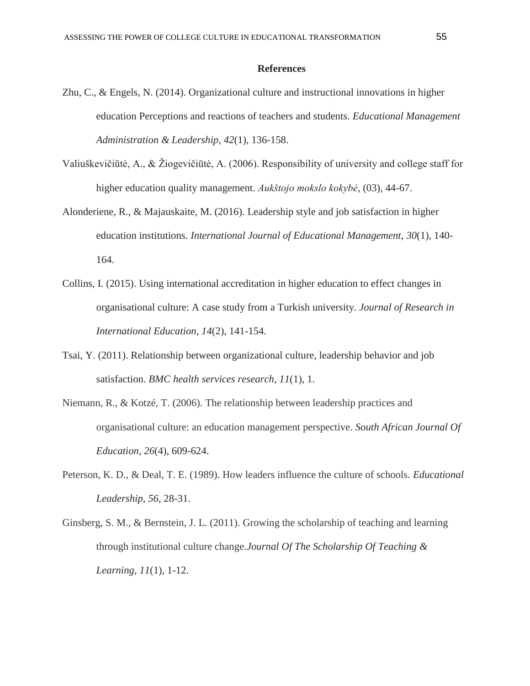## **References**

- Zhu, C., & Engels, N. (2014). Organizational culture and instructional innovations in higher education Perceptions and reactions of teachers and students. *Educational Management Administration & Leadership*, *42*(1), 136-158.
- Valiuškevičiūtė, A., & Žiogevičiūtė, A. (2006). Responsibility of university and college staff for higher education quality management. *Aukštojo mokslo kokybė*, (03), 44-67.
- Alonderiene, R., & Majauskaite, M. (2016). Leadership style and job satisfaction in higher education institutions. *International Journal of Educational Management*, *30*(1), 140- 164.
- Collins, I. (2015). Using international accreditation in higher education to effect changes in organisational culture: A case study from a Turkish university. *Journal of Research in International Education*, *14*(2), 141-154.
- Tsai, Y. (2011). Relationship between organizational culture, leadership behavior and job satisfaction. *BMC health services research*, *11*(1), 1.
- Niemann, R., & Kotzé, T. (2006). The relationship between leadership practices and organisational culture: an education management perspective. *South African Journal Of Education*, *26*(4), 609-624.
- Peterson, K. D., & Deal, T. E. (1989). How leaders influence the culture of schools. *Educational Leadership*, *56*, 28-31.
- Ginsberg, S. M., & Bernstein, J. L. (2011). Growing the scholarship of teaching and learning through institutional culture change.*Journal Of The Scholarship Of Teaching & Learning*, *11*(1), 1-12.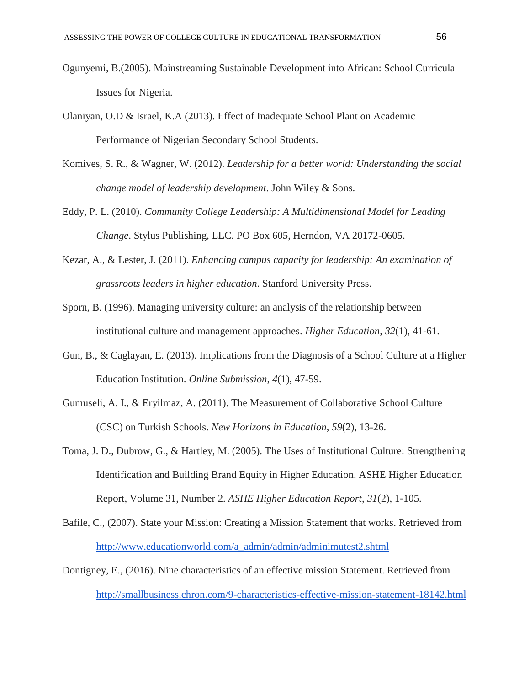- Ogunyemi, B.(2005). Mainstreaming Sustainable Development into African: School Curricula Issues for Nigeria.
- Olaniyan, O.D & Israel, K.A (2013). Effect of Inadequate School Plant on Academic Performance of Nigerian Secondary School Students.
- Komives, S. R., & Wagner, W. (2012). *Leadership for a better world: Understanding the social change model of leadership development*. John Wiley & Sons.
- Eddy, P. L. (2010). *Community College Leadership: A Multidimensional Model for Leading Change*. Stylus Publishing, LLC. PO Box 605, Herndon, VA 20172-0605.
- Kezar, A., & Lester, J. (2011). *Enhancing campus capacity for leadership: An examination of grassroots leaders in higher education*. Stanford University Press.
- Sporn, B. (1996). Managing university culture: an analysis of the relationship between institutional culture and management approaches. *Higher Education*, *32*(1), 41-61.
- Gun, B., & Caglayan, E. (2013). Implications from the Diagnosis of a School Culture at a Higher Education Institution. *Online Submission*, *4*(1), 47-59.
- Gumuseli, A. I., & Eryilmaz, A. (2011). The Measurement of Collaborative School Culture (CSC) on Turkish Schools. *New Horizons in Education*, *59*(2), 13-26.
- Toma, J. D., Dubrow, G., & Hartley, M. (2005). The Uses of Institutional Culture: Strengthening Identification and Building Brand Equity in Higher Education. ASHE Higher Education Report, Volume 31, Number 2. *ASHE Higher Education Report*, *31*(2), 1-105.
- Bafile, C., (2007). State your Mission: Creating a Mission Statement that works. Retrieved fro[m](http://www.educationworld.com/a_admin/admin/adminimutest2.shtml) [http://www.educationworld.com/a\\_admin/admin/adminimutest2.shtml](http://www.educationworld.com/a_admin/admin/adminimutest2.shtml)
- Dontigney, E., (2016). Nine characteristics of an effective mission Statement. Retrieved fro[m](http://smallbusiness.chron.com/9-characteristics-effective-mission-statement-18142.html) <http://smallbusiness.chron.com/9-characteristics-effective-mission-statement-18142.html>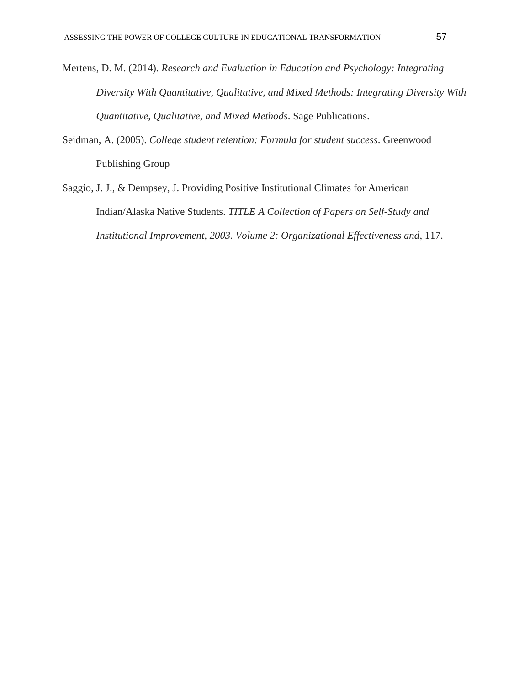- Mertens, D. M. (2014). *Research and Evaluation in Education and Psychology: Integrating Diversity With Quantitative, Qualitative, and Mixed Methods: Integrating Diversity With Quantitative, Qualitative, and Mixed Methods*. Sage Publications.
- Seidman, A. (2005). *College student retention: Formula for student success*. Greenwood Publishing Group
- Saggio, J. J., & Dempsey, J. Providing Positive Institutional Climates for American Indian/Alaska Native Students. *TITLE A Collection of Papers on Self-Study and Institutional Improvement, 2003. Volume 2: Organizational Effectiveness and*, 117.